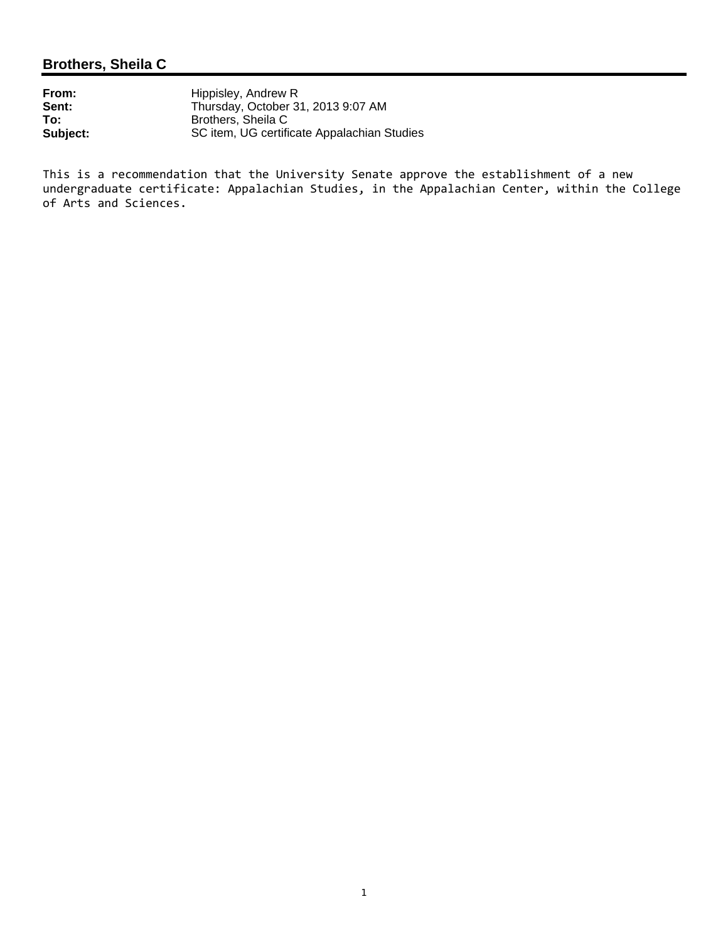# **Brothers, Sheila C**

| From:    | Hippisley, Andrew R                         |
|----------|---------------------------------------------|
| Sent:    | Thursday, October 31, 2013 9:07 AM          |
| To:      | Brothers, Sheila C                          |
| Subject: | SC item, UG certificate Appalachian Studies |

This is a recommendation that the University Senate approve the establishment of a new undergraduate certificate: Appalachian Studies, in the Appalachian Center, within the College of Arts and Sciences.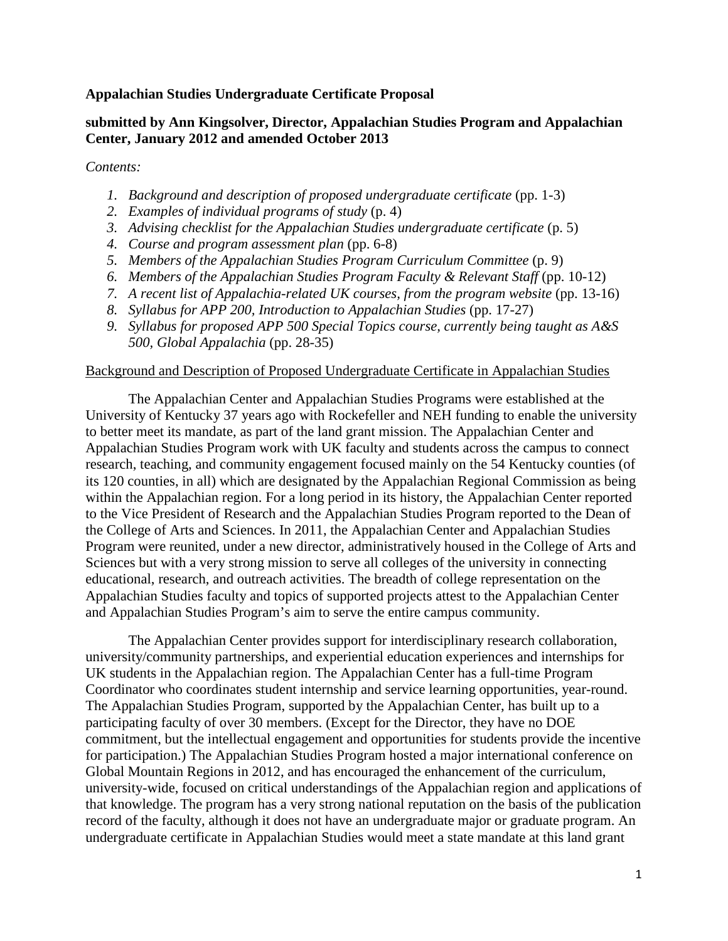### **Appalachian Studies Undergraduate Certificate Proposal**

### **submitted by Ann Kingsolver, Director, Appalachian Studies Program and Appalachian Center, January 2012 and amended October 2013**

#### *Contents:*

- *1. Background and description of proposed undergraduate certificate* (pp. 1-3)
- *2. Examples of individual programs of study* (p. 4)
- *3. Advising checklist for the Appalachian Studies undergraduate certificate* (p. 5)
- *4. Course and program assessment plan* (pp. 6-8)
- *5. Members of the Appalachian Studies Program Curriculum Committee* (p. 9)
- *6. Members of the Appalachian Studies Program Faculty & Relevant Staff* (pp. 10-12)
- *7. A recent list of Appalachia-related UK courses, from the program website* (pp. 13-16)
- *8. Syllabus for APP 200, Introduction to Appalachian Studies* (pp. 17-27)
- *9. Syllabus for proposed APP 500 Special Topics course, currently being taught as A&S 500, Global Appalachia* (pp. 28-35)

#### Background and Description of Proposed Undergraduate Certificate in Appalachian Studies

The Appalachian Center and Appalachian Studies Programs were established at the University of Kentucky 37 years ago with Rockefeller and NEH funding to enable the university to better meet its mandate, as part of the land grant mission. The Appalachian Center and Appalachian Studies Program work with UK faculty and students across the campus to connect research, teaching, and community engagement focused mainly on the 54 Kentucky counties (of its 120 counties, in all) which are designated by the Appalachian Regional Commission as being within the Appalachian region. For a long period in its history, the Appalachian Center reported to the Vice President of Research and the Appalachian Studies Program reported to the Dean of the College of Arts and Sciences. In 2011, the Appalachian Center and Appalachian Studies Program were reunited, under a new director, administratively housed in the College of Arts and Sciences but with a very strong mission to serve all colleges of the university in connecting educational, research, and outreach activities. The breadth of college representation on the Appalachian Studies faculty and topics of supported projects attest to the Appalachian Center and Appalachian Studies Program's aim to serve the entire campus community.

The Appalachian Center provides support for interdisciplinary research collaboration, university/community partnerships, and experiential education experiences and internships for UK students in the Appalachian region. The Appalachian Center has a full-time Program Coordinator who coordinates student internship and service learning opportunities, year-round. The Appalachian Studies Program, supported by the Appalachian Center, has built up to a participating faculty of over 30 members. (Except for the Director, they have no DOE commitment, but the intellectual engagement and opportunities for students provide the incentive for participation.) The Appalachian Studies Program hosted a major international conference on Global Mountain Regions in 2012, and has encouraged the enhancement of the curriculum, university-wide, focused on critical understandings of the Appalachian region and applications of that knowledge. The program has a very strong national reputation on the basis of the publication record of the faculty, although it does not have an undergraduate major or graduate program. An undergraduate certificate in Appalachian Studies would meet a state mandate at this land grant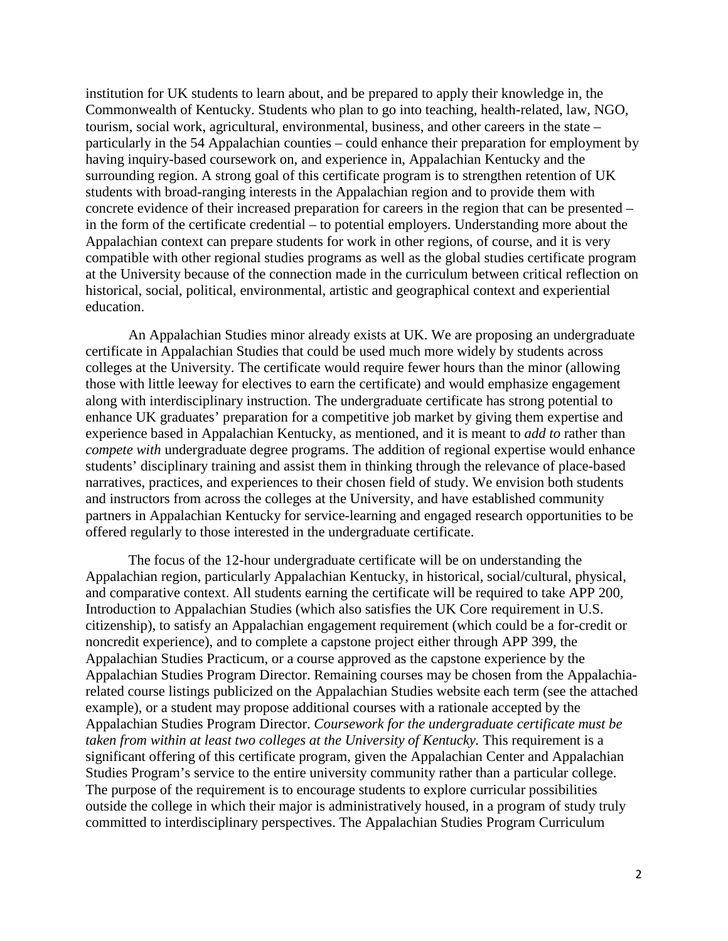institution for UK students to learn about, and be prepared to apply their knowledge in, the Commonwealth of Kentucky. Students who plan to go into teaching, health-related, law, NGO, tourism, social work, agricultural, environmental, business, and other careers in the state – particularly in the 54 Appalachian counties – could enhance their preparation for employment by having inquiry-based coursework on, and experience in, Appalachian Kentucky and the surrounding region. A strong goal of this certificate program is to strengthen retention of UK students with broad-ranging interests in the Appalachian region and to provide them with concrete evidence of their increased preparation for careers in the region that can be presented – in the form of the certificate credential – to potential employers. Understanding more about the Appalachian context can prepare students for work in other regions, of course, and it is very compatible with other regional studies programs as well as the global studies certificate program at the University because of the connection made in the curriculum between critical reflection on historical, social, political, environmental, artistic and geographical context and experiential education.

An Appalachian Studies minor already exists at UK. We are proposing an undergraduate certificate in Appalachian Studies that could be used much more widely by students across colleges at the University. The certificate would require fewer hours than the minor (allowing those with little leeway for electives to earn the certificate) and would emphasize engagement along with interdisciplinary instruction. The undergraduate certificate has strong potential to enhance UK graduates' preparation for a competitive job market by giving them expertise and experience based in Appalachian Kentucky, as mentioned, and it is meant to *add to* rather than *compete with* undergraduate degree programs. The addition of regional expertise would enhance students' disciplinary training and assist them in thinking through the relevance of place-based narratives, practices, and experiences to their chosen field of study. We envision both students and instructors from across the colleges at the University, and have established community partners in Appalachian Kentucky for service-learning and engaged research opportunities to be offered regularly to those interested in the undergraduate certificate.

The focus of the 12-hour undergraduate certificate will be on understanding the Appalachian region, particularly Appalachian Kentucky, in historical, social/cultural, physical, and comparative context. All students earning the certificate will be required to take APP 200, Introduction to Appalachian Studies (which also satisfies the UK Core requirement in U.S. citizenship), to satisfy an Appalachian engagement requirement (which could be a for-credit or noncredit experience), and to complete a capstone project either through APP 399, the Appalachian Studies Practicum, or a course approved as the capstone experience by the Appalachian Studies Program Director. Remaining courses may be chosen from the Appalachiarelated course listings publicized on the Appalachian Studies website each term (see the attached example), or a student may propose additional courses with a rationale accepted by the Appalachian Studies Program Director. *Coursework for the undergraduate certificate must be taken from within at least two colleges at the University of Kentucky.* This requirement is a significant offering of this certificate program, given the Appalachian Center and Appalachian Studies Program's service to the entire university community rather than a particular college. The purpose of the requirement is to encourage students to explore curricular possibilities outside the college in which their major is administratively housed, in a program of study truly committed to interdisciplinary perspectives. The Appalachian Studies Program Curriculum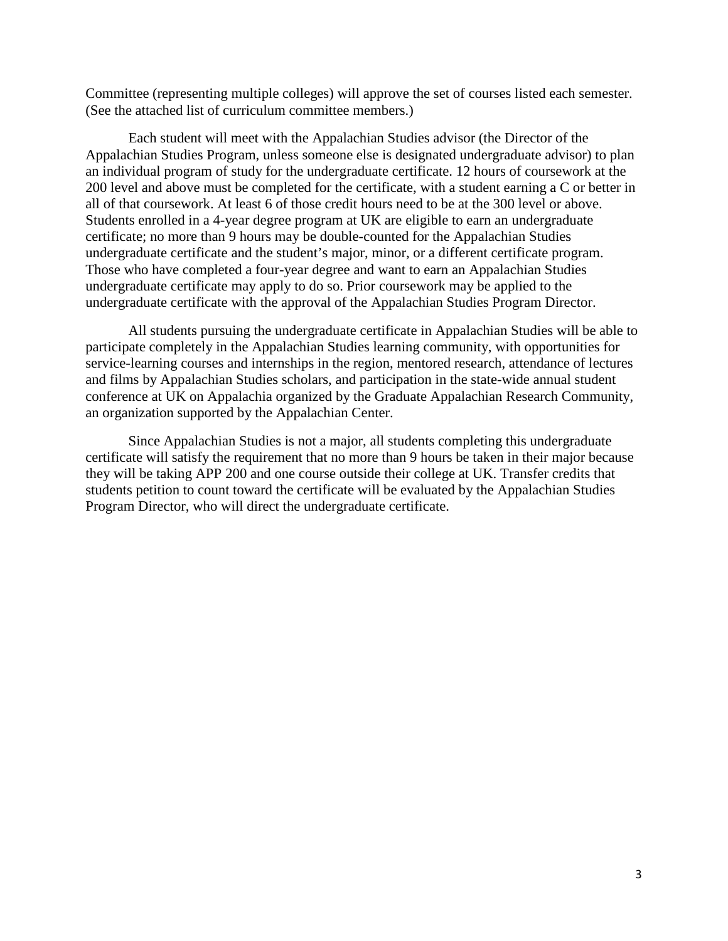Committee (representing multiple colleges) will approve the set of courses listed each semester. (See the attached list of curriculum committee members.)

Each student will meet with the Appalachian Studies advisor (the Director of the Appalachian Studies Program, unless someone else is designated undergraduate advisor) to plan an individual program of study for the undergraduate certificate. 12 hours of coursework at the 200 level and above must be completed for the certificate, with a student earning a C or better in all of that coursework. At least 6 of those credit hours need to be at the 300 level or above. Students enrolled in a 4-year degree program at UK are eligible to earn an undergraduate certificate; no more than 9 hours may be double-counted for the Appalachian Studies undergraduate certificate and the student's major, minor, or a different certificate program. Those who have completed a four-year degree and want to earn an Appalachian Studies undergraduate certificate may apply to do so. Prior coursework may be applied to the undergraduate certificate with the approval of the Appalachian Studies Program Director.

All students pursuing the undergraduate certificate in Appalachian Studies will be able to participate completely in the Appalachian Studies learning community, with opportunities for service-learning courses and internships in the region, mentored research, attendance of lectures and films by Appalachian Studies scholars, and participation in the state-wide annual student conference at UK on Appalachia organized by the Graduate Appalachian Research Community, an organization supported by the Appalachian Center.

Since Appalachian Studies is not a major, all students completing this undergraduate certificate will satisfy the requirement that no more than 9 hours be taken in their major because they will be taking APP 200 and one course outside their college at UK. Transfer credits that students petition to count toward the certificate will be evaluated by the Appalachian Studies Program Director, who will direct the undergraduate certificate.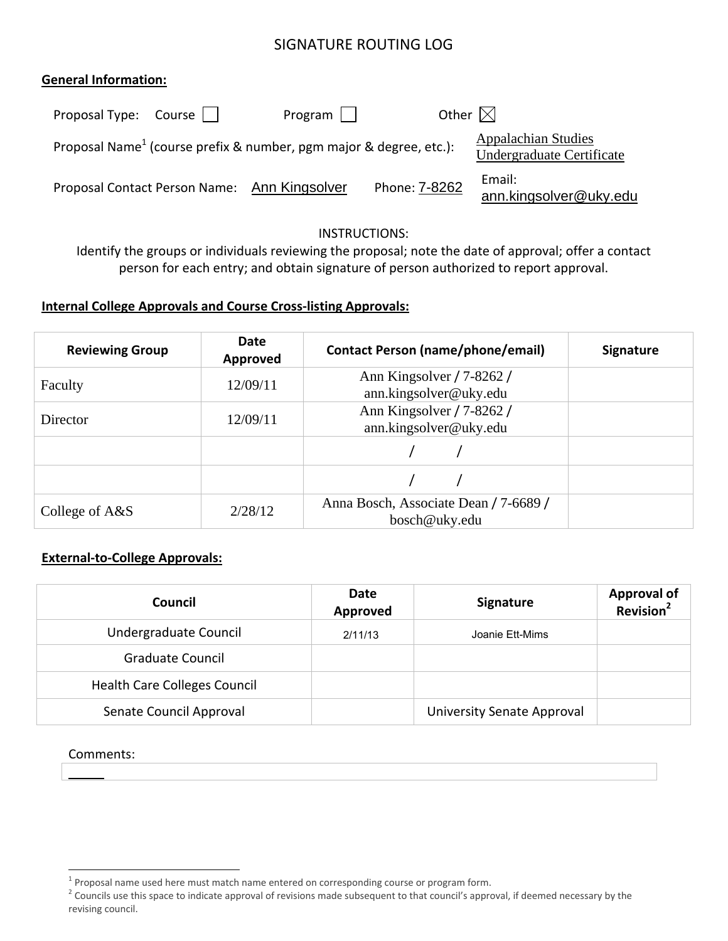# SIGNATURE ROUTING LOG

### **General Information:**

| Proposal Type: $Course \mid \cdot$ | Program                                                                        | Other $\boxtimes$ |                                                         |
|------------------------------------|--------------------------------------------------------------------------------|-------------------|---------------------------------------------------------|
|                                    | Proposal Name <sup>1</sup> (course prefix & number, pgm major & degree, etc.): |                   | <b>Appalachian Studies</b><br>Undergraduate Certificate |
| Proposal Contact Person Name:      | Ann Kingsolver                                                                 | Phone: 7-8262     | Email:<br>ann.kingsolver@uky.edu                        |

#### INSTRUCTIONS:

Identify the groups or individuals reviewing the proposal; note the date of approval; offer a contact person for each entry; and obtain signature of person authorized to report approval.

# **Internal College Approvals and Course Cross‐listing Approvals:**

| <b>Reviewing Group</b> | Date<br>Approved | <b>Contact Person (name/phone/email)</b>               | <b>Signature</b> |
|------------------------|------------------|--------------------------------------------------------|------------------|
| Faculty                | 12/09/11         | Ann Kingsolver / 7-8262 /<br>ann.kingsolver@uky.edu    |                  |
| Director               | 12/09/11         | Ann Kingsolver / 7-8262 /<br>ann.kingsolver@uky.edu    |                  |
|                        |                  |                                                        |                  |
|                        |                  |                                                        |                  |
| College of A&S         | 2/28/12          | Anna Bosch, Associate Dean / 7-6689 /<br>bosch@uky.edu |                  |

### **External‐to‐College Approvals:**

| Council                             | Date<br>Approved | Signature                         | <b>Approval of</b><br>$\frac{1}{2}$ Revision <sup>2</sup> |
|-------------------------------------|------------------|-----------------------------------|-----------------------------------------------------------|
| Undergraduate Council               | 2/11/13          | Joanie Ett-Mims                   |                                                           |
| <b>Graduate Council</b>             |                  |                                   |                                                           |
| <b>Health Care Colleges Council</b> |                  |                                   |                                                           |
| Senate Council Approval             |                  | <b>University Senate Approval</b> |                                                           |

#### Comments:

 $\overline{a}$ 

 $1$  Proposal name used here must match name entered on corresponding course or program form.

<sup>&</sup>lt;sup>2</sup> Councils use this space to indicate approval of revisions made subsequent to that council's approval, if deemed necessary by the revising council.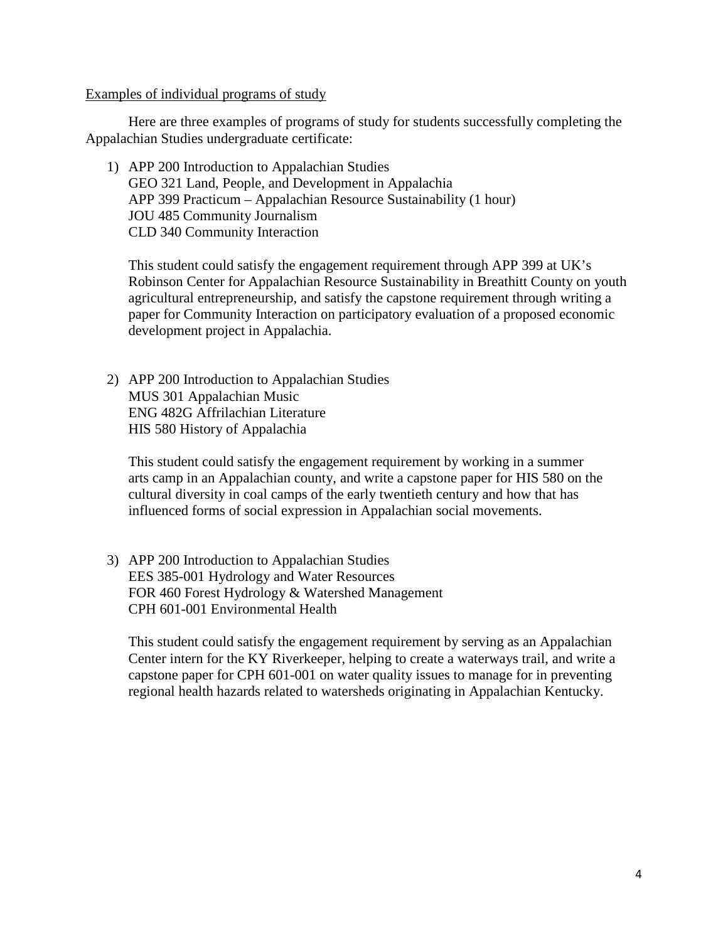Examples of individual programs of study

Here are three examples of programs of study for students successfully completing the Appalachian Studies undergraduate certificate:

1) APP 200 Introduction to Appalachian Studies GEO 321 Land, People, and Development in Appalachia APP 399 Practicum – Appalachian Resource Sustainability (1 hour) JOU 485 Community Journalism CLD 340 Community Interaction

This student could satisfy the engagement requirement through APP 399 at UK's Robinson Center for Appalachian Resource Sustainability in Breathitt County on youth agricultural entrepreneurship, and satisfy the capstone requirement through writing a paper for Community Interaction on participatory evaluation of a proposed economic development project in Appalachia.

2) APP 200 Introduction to Appalachian Studies MUS 301 Appalachian Music ENG 482G Affrilachian Literature HIS 580 History of Appalachia

This student could satisfy the engagement requirement by working in a summer arts camp in an Appalachian county, and write a capstone paper for HIS 580 on the cultural diversity in coal camps of the early twentieth century and how that has influenced forms of social expression in Appalachian social movements.

3) APP 200 Introduction to Appalachian Studies EES 385-001 Hydrology and Water Resources FOR 460 Forest Hydrology & Watershed Management CPH 601-001 Environmental Health

This student could satisfy the engagement requirement by serving as an Appalachian Center intern for the KY Riverkeeper, helping to create a waterways trail, and write a capstone paper for CPH 601-001 on water quality issues to manage for in preventing regional health hazards related to watersheds originating in Appalachian Kentucky.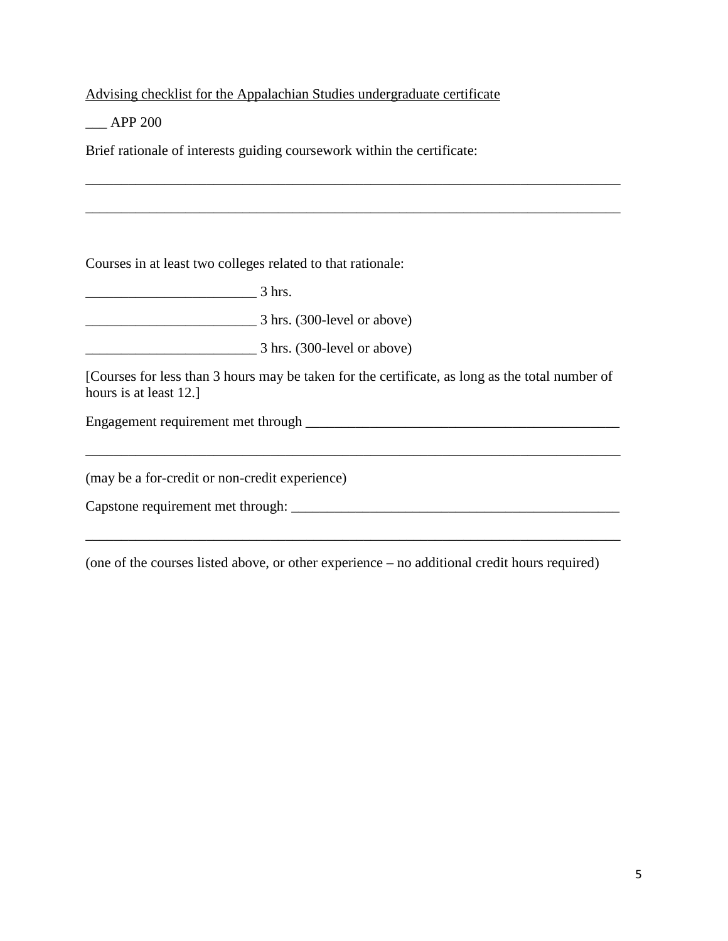Advising checklist for the Appalachian Studies undergraduate certificate

\_\_\_ APP 200

Brief rationale of interests guiding coursework within the certificate:

Courses in at least two colleges related to that rationale:

\_\_\_\_\_\_\_\_\_\_\_\_\_\_\_\_\_\_\_\_\_\_\_\_ 3 hrs.

\_\_\_\_\_\_\_\_\_\_\_\_\_\_\_\_\_\_\_\_\_\_\_\_ 3 hrs. (300-level or above)

 $\frac{3 \text{ hrs.}}{3 \text{ hrs.}}$  (300-level or above)

[Courses for less than 3 hours may be taken for the certificate, as long as the total number of hours is at least 12.]

\_\_\_\_\_\_\_\_\_\_\_\_\_\_\_\_\_\_\_\_\_\_\_\_\_\_\_\_\_\_\_\_\_\_\_\_\_\_\_\_\_\_\_\_\_\_\_\_\_\_\_\_\_\_\_\_\_\_\_\_\_\_\_\_\_\_\_\_\_\_\_\_\_\_\_

\_\_\_\_\_\_\_\_\_\_\_\_\_\_\_\_\_\_\_\_\_\_\_\_\_\_\_\_\_\_\_\_\_\_\_\_\_\_\_\_\_\_\_\_\_\_\_\_\_\_\_\_\_\_\_\_\_\_\_\_\_\_\_\_\_\_\_\_\_\_\_\_\_\_\_

\_\_\_\_\_\_\_\_\_\_\_\_\_\_\_\_\_\_\_\_\_\_\_\_\_\_\_\_\_\_\_\_\_\_\_\_\_\_\_\_\_\_\_\_\_\_\_\_\_\_\_\_\_\_\_\_\_\_\_\_\_\_\_\_\_\_\_\_\_\_\_\_\_\_\_

Engagement requirement met through \_\_\_\_\_\_\_\_\_\_\_\_\_\_\_\_\_\_\_\_\_\_\_\_\_\_\_\_\_\_\_\_\_\_\_\_\_\_\_\_\_\_\_\_

(may be a for-credit or non-credit experience)

Capstone requirement met through: \_\_\_\_\_\_\_\_\_\_\_\_\_\_\_\_\_\_\_\_\_\_\_\_\_\_\_\_\_\_\_\_\_\_\_\_\_\_\_\_\_\_\_\_\_\_

(one of the courses listed above, or other experience – no additional credit hours required)

\_\_\_\_\_\_\_\_\_\_\_\_\_\_\_\_\_\_\_\_\_\_\_\_\_\_\_\_\_\_\_\_\_\_\_\_\_\_\_\_\_\_\_\_\_\_\_\_\_\_\_\_\_\_\_\_\_\_\_\_\_\_\_\_\_\_\_\_\_\_\_\_\_\_\_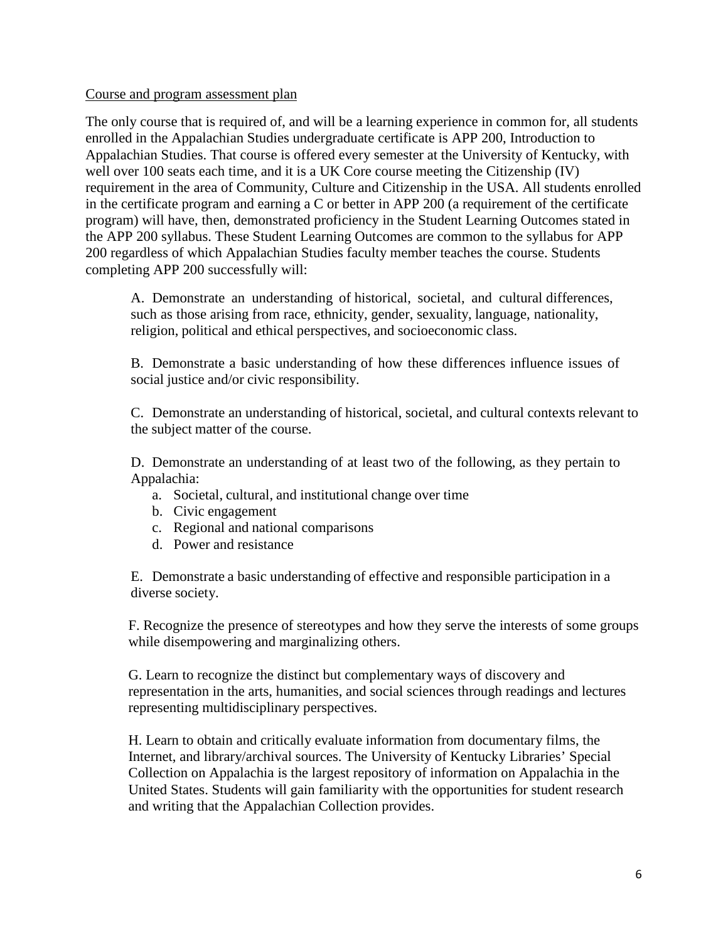### Course and program assessment plan

The only course that is required of, and will be a learning experience in common for, all students enrolled in the Appalachian Studies undergraduate certificate is APP 200, Introduction to Appalachian Studies. That course is offered every semester at the University of Kentucky, with well over 100 seats each time, and it is a UK Core course meeting the Citizenship (IV) requirement in the area of Community, Culture and Citizenship in the USA. All students enrolled in the certificate program and earning a C or better in APP 200 (a requirement of the certificate program) will have, then, demonstrated proficiency in the Student Learning Outcomes stated in the APP 200 syllabus. These Student Learning Outcomes are common to the syllabus for APP 200 regardless of which Appalachian Studies faculty member teaches the course. Students completing APP 200 successfully will:

A. Demonstrate an understanding of historical, societal, and cultural differences, such as those arising from race, ethnicity, gender, sexuality, language, nationality, religion, political and ethical perspectives, and socioeconomic class.

B. Demonstrate a basic understanding of how these differences influence issues of social justice and/or civic responsibility.

C. Demonstrate an understanding of historical, societal, and cultural contexts relevant to the subject matter of the course.

D. Demonstrate an understanding of at least two of the following, as they pertain to Appalachia:

- a. Societal, cultural, and institutional change over time
- b. Civic engagement
- c. Regional and national comparisons
- d. Power and resistance

E. Demonstrate a basic understanding of effective and responsible participation in a diverse society.

F. Recognize the presence of stereotypes and how they serve the interests of some groups while disempowering and marginalizing others.

G. Learn to recognize the distinct but complementary ways of discovery and representation in the arts, humanities, and social sciences through readings and lectures representing multidisciplinary perspectives.

H. Learn to obtain and critically evaluate information from documentary films, the Internet, and library/archival sources. The University of Kentucky Libraries' Special Collection on Appalachia is the largest repository of information on Appalachia in the United States. Students will gain familiarity with the opportunities for student research and writing that the Appalachian Collection provides.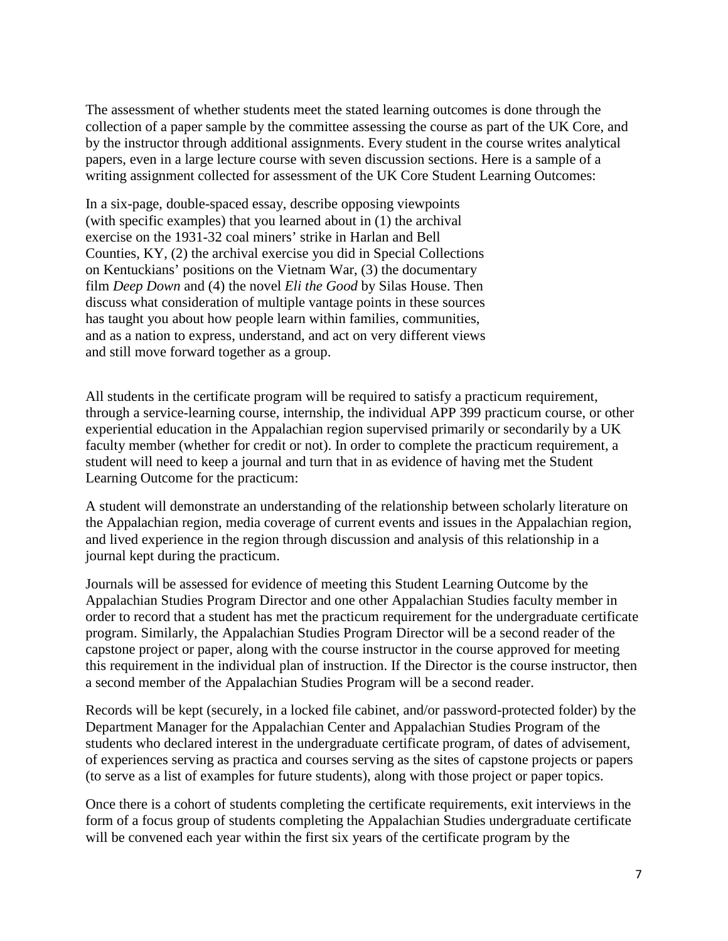The assessment of whether students meet the stated learning outcomes is done through the collection of a paper sample by the committee assessing the course as part of the UK Core, and by the instructor through additional assignments. Every student in the course writes analytical papers, even in a large lecture course with seven discussion sections. Here is a sample of a writing assignment collected for assessment of the UK Core Student Learning Outcomes:

In a six-page, double-spaced essay, describe opposing viewpoints (with specific examples) that you learned about in (1) the archival exercise on the 1931-32 coal miners' strike in Harlan and Bell Counties, KY, (2) the archival exercise you did in Special Collections on Kentuckians' positions on the Vietnam War, (3) the documentary film *Deep Down* and (4) the novel *Eli the Good* by Silas House. Then discuss what consideration of multiple vantage points in these sources has taught you about how people learn within families, communities, and as a nation to express, understand, and act on very different views and still move forward together as a group.

All students in the certificate program will be required to satisfy a practicum requirement, through a service-learning course, internship, the individual APP 399 practicum course, or other experiential education in the Appalachian region supervised primarily or secondarily by a UK faculty member (whether for credit or not). In order to complete the practicum requirement, a student will need to keep a journal and turn that in as evidence of having met the Student Learning Outcome for the practicum:

A student will demonstrate an understanding of the relationship between scholarly literature on the Appalachian region, media coverage of current events and issues in the Appalachian region, and lived experience in the region through discussion and analysis of this relationship in a journal kept during the practicum.

Journals will be assessed for evidence of meeting this Student Learning Outcome by the Appalachian Studies Program Director and one other Appalachian Studies faculty member in order to record that a student has met the practicum requirement for the undergraduate certificate program. Similarly, the Appalachian Studies Program Director will be a second reader of the capstone project or paper, along with the course instructor in the course approved for meeting this requirement in the individual plan of instruction. If the Director is the course instructor, then a second member of the Appalachian Studies Program will be a second reader.

Records will be kept (securely, in a locked file cabinet, and/or password-protected folder) by the Department Manager for the Appalachian Center and Appalachian Studies Program of the students who declared interest in the undergraduate certificate program, of dates of advisement, of experiences serving as practica and courses serving as the sites of capstone projects or papers (to serve as a list of examples for future students), along with those project or paper topics.

Once there is a cohort of students completing the certificate requirements, exit interviews in the form of a focus group of students completing the Appalachian Studies undergraduate certificate will be convened each year within the first six years of the certificate program by the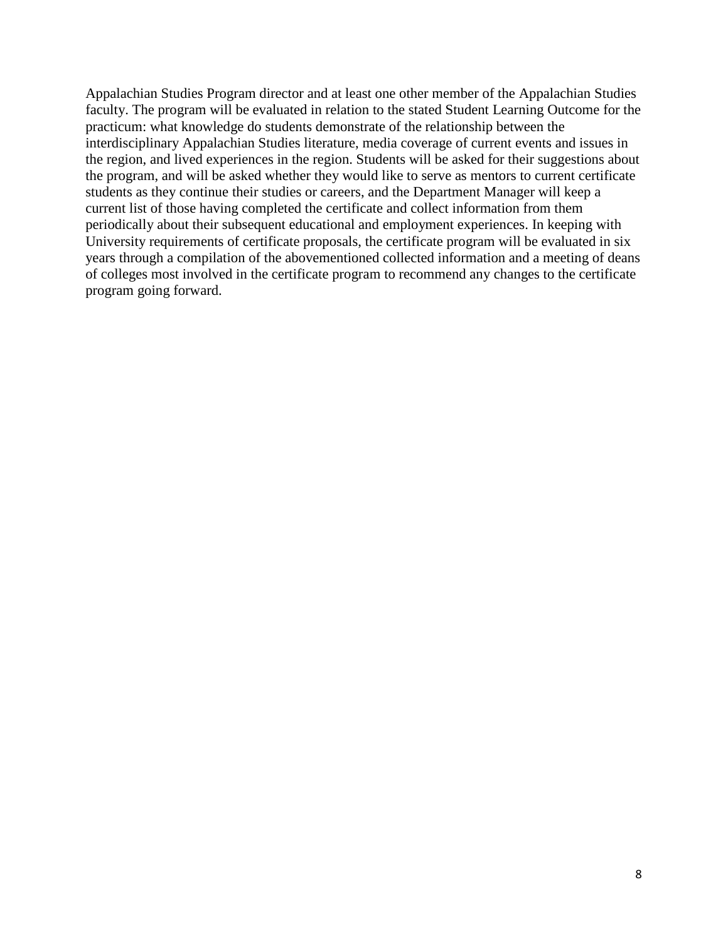Appalachian Studies Program director and at least one other member of the Appalachian Studies faculty. The program will be evaluated in relation to the stated Student Learning Outcome for the practicum: what knowledge do students demonstrate of the relationship between the interdisciplinary Appalachian Studies literature, media coverage of current events and issues in the region, and lived experiences in the region. Students will be asked for their suggestions about the program, and will be asked whether they would like to serve as mentors to current certificate students as they continue their studies or careers, and the Department Manager will keep a current list of those having completed the certificate and collect information from them periodically about their subsequent educational and employment experiences. In keeping with University requirements of certificate proposals, the certificate program will be evaluated in six years through a compilation of the abovementioned collected information and a meeting of deans of colleges most involved in the certificate program to recommend any changes to the certificate program going forward.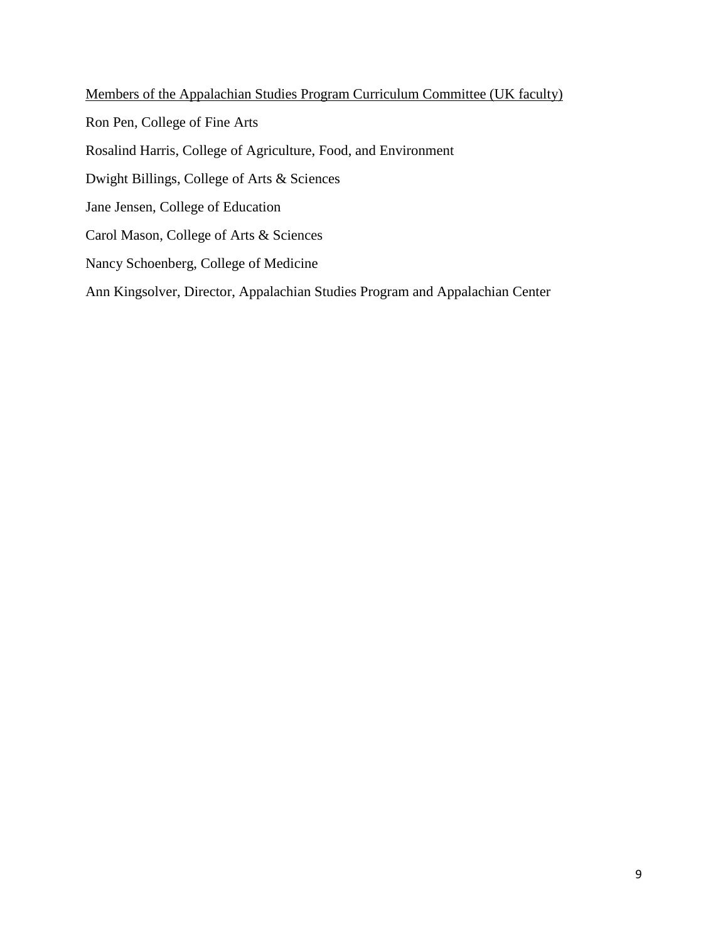Members of the Appalachian Studies Program Curriculum Committee (UK faculty) Ron Pen, College of Fine Arts Rosalind Harris, College of Agriculture, Food, and Environment Dwight Billings, College of Arts & Sciences Jane Jensen, College of Education Carol Mason, College of Arts & Sciences Nancy Schoenberg, College of Medicine Ann Kingsolver, Director, Appalachian Studies Program and Appalachian Center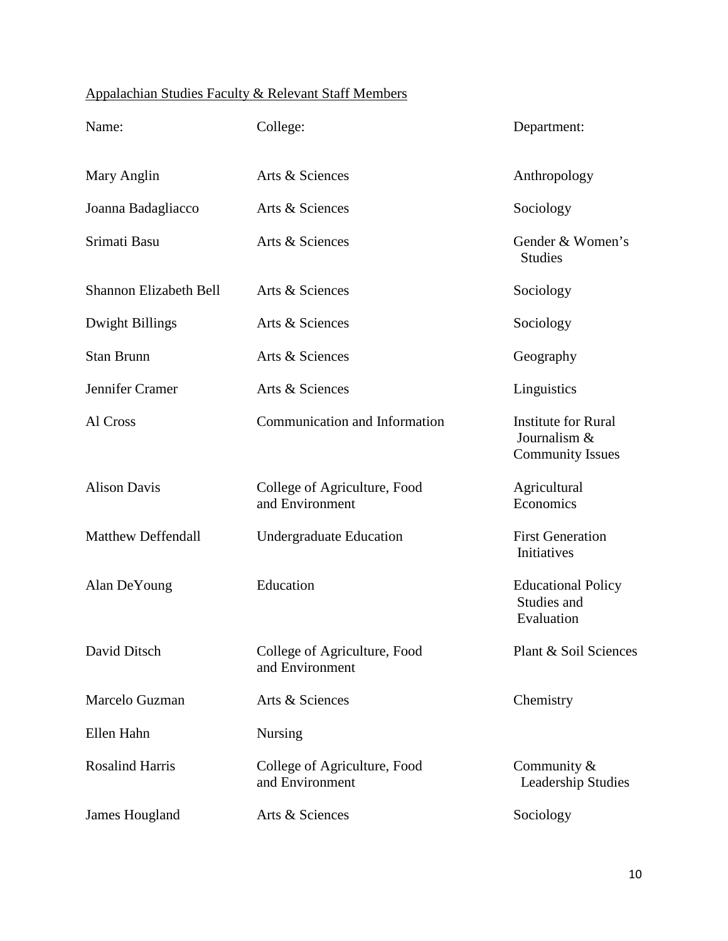# Appalachian Studies Faculty & Relevant Staff Members

| Name:                         | College:                                        | Department:                                                           |
|-------------------------------|-------------------------------------------------|-----------------------------------------------------------------------|
| Mary Anglin                   | Arts & Sciences                                 | Anthropology                                                          |
| Joanna Badagliacco            | Arts & Sciences                                 | Sociology                                                             |
| Srimati Basu                  | Arts & Sciences                                 | Gender & Women's<br><b>Studies</b>                                    |
| <b>Shannon Elizabeth Bell</b> | Arts & Sciences                                 | Sociology                                                             |
| Dwight Billings               | Arts & Sciences                                 | Sociology                                                             |
| <b>Stan Brunn</b>             | Arts & Sciences                                 | Geography                                                             |
| Jennifer Cramer               | Arts & Sciences                                 | Linguistics                                                           |
| Al Cross                      | Communication and Information                   | <b>Institute for Rural</b><br>Journalism &<br><b>Community Issues</b> |
| <b>Alison Davis</b>           | College of Agriculture, Food<br>and Environment | Agricultural<br>Economics                                             |
| <b>Matthew Deffendall</b>     | <b>Undergraduate Education</b>                  | <b>First Generation</b><br>Initiatives                                |
| Alan DeYoung                  | Education                                       | <b>Educational Policy</b><br>Studies and<br>Evaluation                |
| David Ditsch                  | College of Agriculture, Food<br>and Environment | Plant & Soil Sciences                                                 |
| Marcelo Guzman                | Arts & Sciences                                 | Chemistry                                                             |
| Ellen Hahn                    | <b>Nursing</b>                                  |                                                                       |
| <b>Rosalind Harris</b>        | College of Agriculture, Food<br>and Environment | Community &<br>Leadership Studies                                     |
| James Hougland                | Arts & Sciences                                 | Sociology                                                             |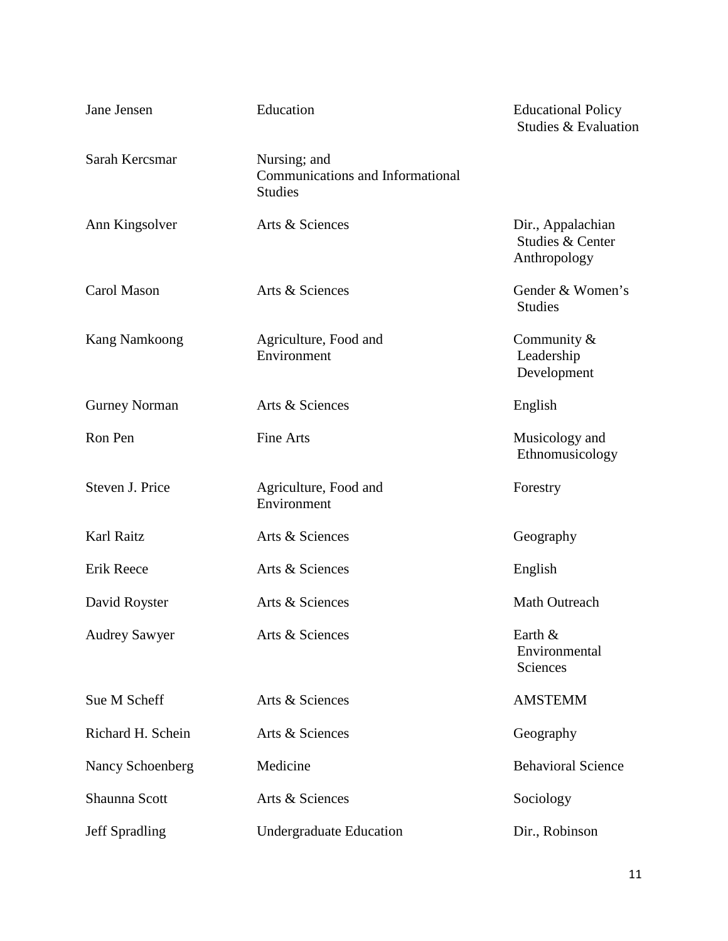| Jane Jensen           | Education                                                          | <b>Educational Policy</b><br>Studies & Evaluation     |
|-----------------------|--------------------------------------------------------------------|-------------------------------------------------------|
| Sarah Kercsmar        | Nursing; and<br>Communications and Informational<br><b>Studies</b> |                                                       |
| Ann Kingsolver        | Arts & Sciences                                                    | Dir., Appalachian<br>Studies & Center<br>Anthropology |
| Carol Mason           | Arts & Sciences                                                    | Gender & Women's<br><b>Studies</b>                    |
| <b>Kang Namkoong</b>  | Agriculture, Food and<br>Environment                               | Community &<br>Leadership<br>Development              |
| <b>Gurney Norman</b>  | Arts & Sciences                                                    | English                                               |
| Ron Pen               | <b>Fine Arts</b>                                                   | Musicology and<br>Ethnomusicology                     |
| Steven J. Price       | Agriculture, Food and<br>Environment                               | Forestry                                              |
| Karl Raitz            | Arts & Sciences                                                    | Geography                                             |
| Erik Reece            | Arts & Sciences                                                    | English                                               |
| David Royster         | Arts & Sciences                                                    | Math Outreach                                         |
| <b>Audrey Sawyer</b>  | Arts & Sciences                                                    | Earth &<br>Environmental<br>Sciences                  |
| Sue M Scheff          | Arts & Sciences                                                    | <b>AMSTEMM</b>                                        |
| Richard H. Schein     | Arts & Sciences                                                    | Geography                                             |
| Nancy Schoenberg      | Medicine                                                           | <b>Behavioral Science</b>                             |
| Shaunna Scott         | Arts & Sciences                                                    | Sociology                                             |
| <b>Jeff Spradling</b> | <b>Undergraduate Education</b>                                     | Dir., Robinson                                        |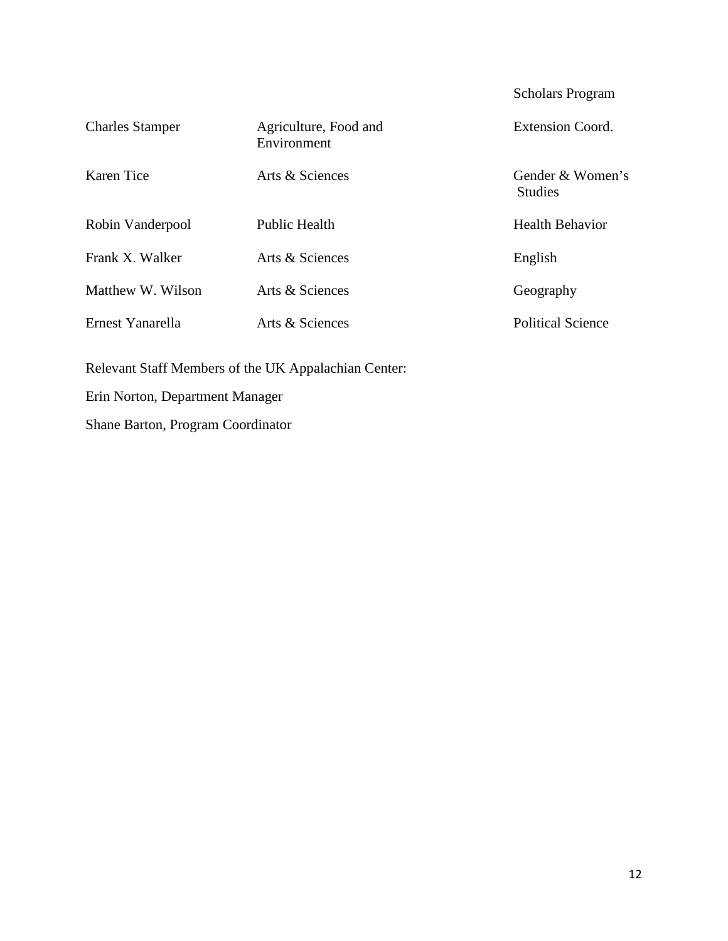|                        |                                      | <b>Scholars Program</b>            |
|------------------------|--------------------------------------|------------------------------------|
| <b>Charles Stamper</b> | Agriculture, Food and<br>Environment | <b>Extension Coord.</b>            |
| Karen Tice             | Arts & Sciences                      | Gender & Women's<br><b>Studies</b> |
| Robin Vanderpool       | <b>Public Health</b>                 | <b>Health Behavior</b>             |
| Frank X. Walker        | Arts & Sciences                      | English                            |
| Matthew W. Wilson      | Arts & Sciences                      | Geography                          |
| Ernest Yanarella       | Arts & Sciences                      | <b>Political Science</b>           |

Relevant Staff Members of the UK Appalachian Center:

Erin Norton, Department Manager

Shane Barton, Program Coordinator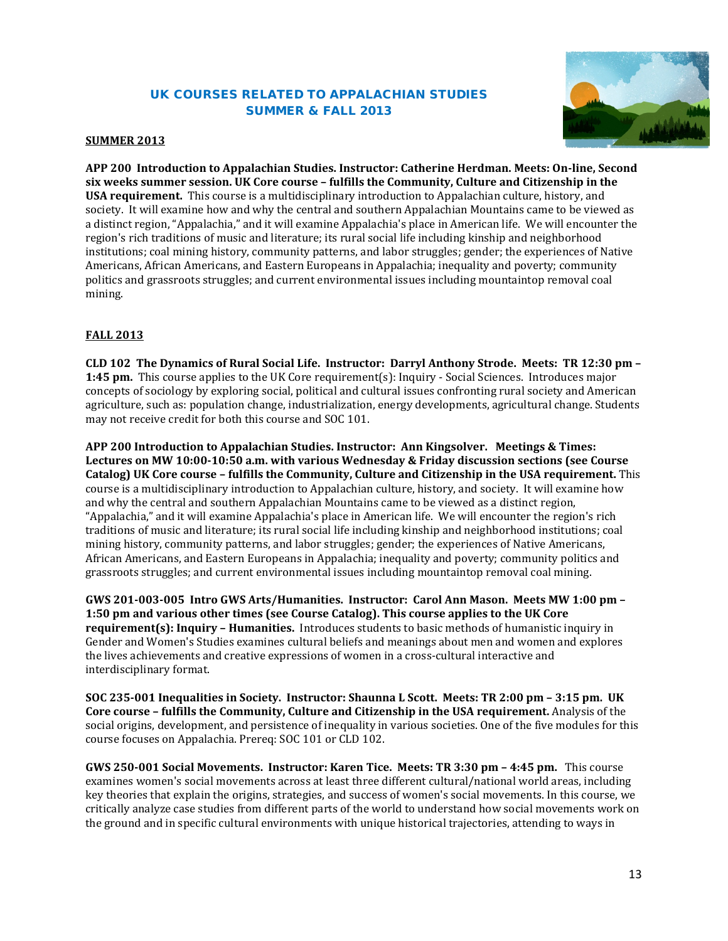### UK COURSES RELATED TO APPALACHIAN STUDIES SUMMER & FALL 2013



#### **SUMMER 2013**

**APP 200 Introduction to Appalachian Studies. Instructor: Catherine Herdman. Meets: On-line, Second six weeks summer session. UK Core course – fulfills the Community, Culture and Citizenship in the USA requirement.** This course is a multidisciplinary introduction to Appalachian culture, history, and society. It will examine how and why the central and southern Appalachian Mountains came to be viewed as a distinct region, "Appalachia," and it will examine Appalachia's place in American life. We will encounter the region's rich traditions of music and literature; its rural social life including kinship and neighborhood institutions; coal mining history, community patterns, and labor struggles; gender; the experiences of Native Americans, African Americans, and Eastern Europeans in Appalachia; inequality and poverty; community politics and grassroots struggles; and current environmental issues including mountaintop removal coal mining.

#### **FALL 2013**

**CLD 102 The Dynamics of Rural Social Life. Instructor: Darryl Anthony Strode. Meets: TR 12:30 pm – 1:45 pm.** This course applies to the UK Core requirement(s): Inquiry - Social Sciences. Introduces major concepts of sociology by exploring social, political and cultural issues confronting rural society and American agriculture, such as: population change, industrialization, energy developments, agricultural change. Students may not receive credit for both this course and SOC 101.

**APP 200 Introduction to Appalachian Studies. Instructor: Ann Kingsolver. Meetings & Times: Lectures on MW 10:00-10:50 a.m. with various Wednesday & Friday discussion sections (see Course Catalog) UK Core course – fulfills the Community, Culture and Citizenship in the USA requirement.** This course is a multidisciplinary introduction to Appalachian culture, history, and society. It will examine how and why the central and southern Appalachian Mountains came to be viewed as a distinct region, "Appalachia," and it will examine Appalachia's place in American life. We will encounter the region's rich traditions of music and literature; its rural social life including kinship and neighborhood institutions; coal mining history, community patterns, and labor struggles; gender; the experiences of Native Americans, African Americans, and Eastern Europeans in Appalachia; inequality and poverty; community politics and grassroots struggles; and current environmental issues including mountaintop removal coal mining.

**GWS 201-003-005 Intro GWS Arts/Humanities. Instructor: Carol Ann Mason. Meets MW 1:00 pm – 1:50 pm and various other times (see Course Catalog). This course applies to the UK Core requirement(s): Inquiry – Humanities.** Introduces students to basic methods of humanistic inquiry in Gender and Women's Studies examines cultural beliefs and meanings about men and women and explores the lives achievements and creative expressions of women in a cross-cultural interactive and interdisciplinary format.

**SOC 235-001 Inequalities in Society. Instructor: Shaunna L Scott. Meets: TR 2:00 pm – 3:15 pm. UK Core course – fulfills the Community, Culture and Citizenship in the USA requirement.** Analysis of the social origins, development, and persistence of inequality in various societies. One of the five modules for this course focuses on Appalachia. Prereq: SOC 101 or CLD 102.

**GWS 250-001 Social Movements. Instructor: Karen Tice. Meets: TR 3:30 pm – 4:45 pm.** This course examines women's social movements across at least three different cultural/national world areas, including key theories that explain the origins, strategies, and success of women's social movements. In this course, we critically analyze case studies from different parts of the world to understand how social movements work on the ground and in specific cultural environments with unique historical trajectories, attending to ways in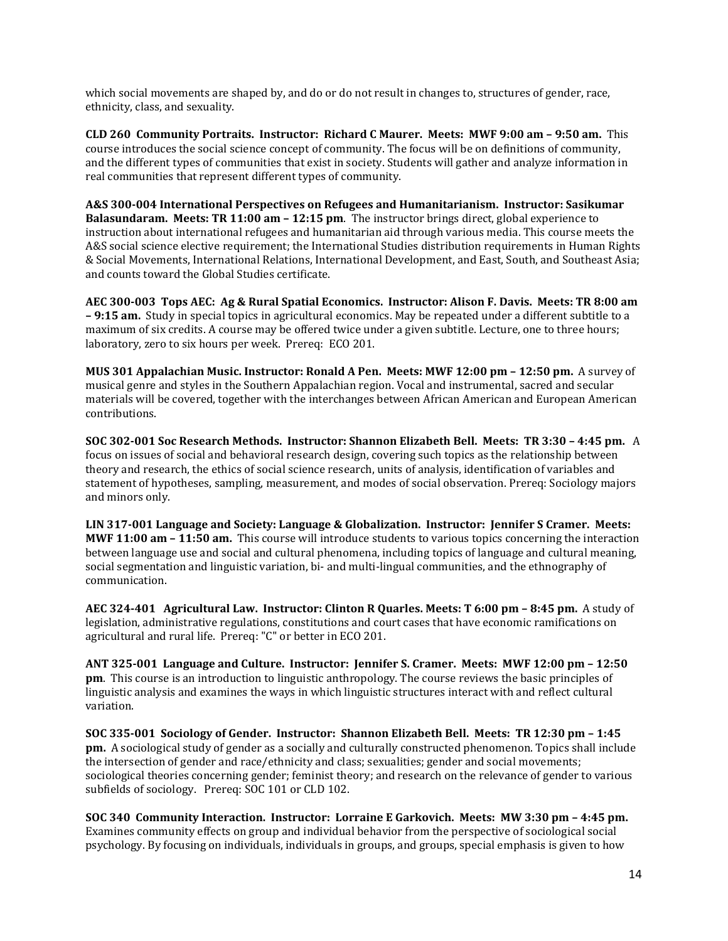which social movements are shaped by, and do or do not result in changes to, structures of gender, race, ethnicity, class, and sexuality.

**CLD 260 Community Portraits. Instructor: Richard C Maurer. Meets: MWF 9:00 am – 9:50 am.** This course introduces the social science concept of community. The focus will be on definitions of community, and the different types of communities that exist in society. Students will gather and analyze information in real communities that represent different types of community.

**A&S 300-004 International Perspectives on Refugees and Humanitarianism. Instructor: Sasikumar Balasundaram. Meets: TR 11:00 am – 12:15 pm**. The instructor brings direct, global experience to instruction about international refugees and humanitarian aid through various media. This course meets the A&S social science elective requirement; the International Studies distribution requirements in Human Rights & Social Movements, International Relations, International Development, and East, South, and Southeast Asia; and counts toward the Global Studies certificate.

**AEC 300-003 Tops AEC: Ag & Rural Spatial Economics. Instructor: Alison F. Davis. Meets: TR 8:00 am – 9:15 am.** Study in special topics in agricultural economics. May be repeated under a different subtitle to a maximum of six credits. A course may be offered twice under a given subtitle. Lecture, one to three hours; laboratory, zero to six hours per week. Prereq: ECO 201.

**MUS 301 Appalachian Music. Instructor: Ronald A Pen. Meets: MWF 12:00 pm – 12:50 pm.** A survey of musical genre and styles in the Southern Appalachian region. Vocal and instrumental, sacred and secular materials will be covered, together with the interchanges between African American and European American contributions.

**SOC 302-001 Soc Research Methods. Instructor: Shannon Elizabeth Bell. Meets: TR 3:30 – 4:45 pm.** A focus on issues of social and behavioral research design, covering such topics as the relationship between theory and research, the ethics of social science research, units of analysis, identification of variables and statement of hypotheses, sampling, measurement, and modes of social observation. Prereq: Sociology majors and minors only.

**LIN 317-001 Language and Society: Language & Globalization. Instructor: Jennifer S Cramer. Meets: MWF 11:00 am – 11:50 am.** This course will introduce students to various topics concerning the interaction between language use and social and cultural phenomena, including topics of language and cultural meaning, social segmentation and linguistic variation, bi- and multi-lingual communities, and the ethnography of communication.

**AEC 324-401 Agricultural Law. Instructor: Clinton R Quarles. Meets: T 6:00 pm – 8:45 pm.** A study of legislation, administrative regulations, constitutions and court cases that have economic ramifications on agricultural and rural life. Prereq: "C" or better in ECO 201.

**ANT 325-001 Language and Culture. Instructor: Jennifer S. Cramer. Meets: MWF 12:00 pm – 12:50 pm**. This course is an introduction to linguistic anthropology. The course reviews the basic principles of linguistic analysis and examines the ways in which linguistic structures interact with and reflect cultural variation.

**SOC 335-001 Sociology of Gender. Instructor: Shannon Elizabeth Bell. Meets: TR 12:30 pm – 1:45 pm.** A sociological study of gender as a socially and culturally constructed phenomenon. Topics shall include the intersection of gender and race/ethnicity and class; sexualities; gender and social movements; sociological theories concerning gender; feminist theory; and research on the relevance of gender to various subfields of sociology. Prereq: SOC 101 or CLD 102.

**SOC 340 Community Interaction. Instructor: Lorraine E Garkovich. Meets: MW 3:30 pm – 4:45 pm.**  Examines community effects on group and individual behavior from the perspective of sociological social psychology. By focusing on individuals, individuals in groups, and groups, special emphasis is given to how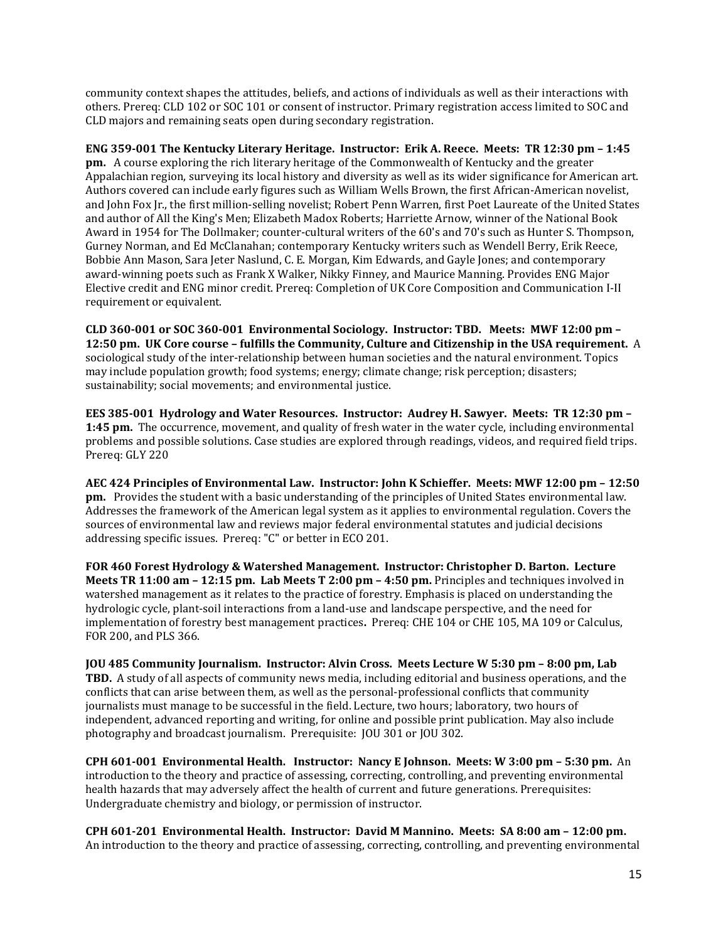community context shapes the attitudes, beliefs, and actions of individuals as well as their interactions with others. Prereq: CLD 102 or SOC 101 or consent of instructor. Primary registration access limited to SOC and CLD majors and remaining seats open during secondary registration.

**ENG 359-001 The Kentucky Literary Heritage. Instructor: Erik A. Reece. Meets: TR 12:30 pm – 1:45 pm.** A course exploring the rich literary heritage of the Commonwealth of Kentucky and the greater Appalachian region, surveying its local history and diversity as well as its wider significance for American art. Authors covered can include early figures such as William Wells Brown, the first African-American novelist, and John Fox Jr., the first million-selling novelist; Robert Penn Warren, first Poet Laureate of the United States and author of All the King's Men; Elizabeth Madox Roberts; Harriette Arnow, winner of the National Book Award in 1954 for The Dollmaker; counter-cultural writers of the 60's and 70's such as Hunter S. Thompson, Gurney Norman, and Ed McClanahan; contemporary Kentucky writers such as Wendell Berry, Erik Reece, Bobbie Ann Mason, Sara Jeter Naslund, C. E. Morgan, Kim Edwards, and Gayle Jones; and contemporary award-winning poets such as Frank X Walker, Nikky Finney, and Maurice Manning. Provides ENG Major Elective credit and ENG minor credit. Prereq: Completion of UK Core Composition and Communication I-II requirement or equivalent.

**CLD 360-001 or SOC 360-001 Environmental Sociology. Instructor: TBD. Meets: MWF 12:00 pm – 12:50 pm. UK Core course – fulfills the Community, Culture and Citizenship in the USA requirement.** A sociological study of the inter-relationship between human societies and the natural environment. Topics may include population growth; food systems; energy; climate change; risk perception; disasters; sustainability; social movements; and environmental justice.

**EES 385-001 Hydrology and Water Resources. Instructor: Audrey H. Sawyer. Meets: TR 12:30 pm – 1:45 pm.** The occurrence, movement, and quality of fresh water in the water cycle, including environmental problems and possible solutions. Case studies are explored through readings, videos, and required field trips. Prereq: GLY 220

**AEC 424 Principles of Environmental Law. Instructor: John K Schieffer. Meets: MWF 12:00 pm – 12:50 pm.** Provides the student with a basic understanding of the principles of United States environmental law. Addresses the framework of the American legal system as it applies to environmental regulation. Covers the sources of environmental law and reviews major federal environmental statutes and judicial decisions addressing specific issues. Prereq: "C" or better in ECO 201.

**FOR 460 Forest Hydrology & Watershed Management. Instructor: Christopher D. Barton. Lecture Meets TR 11:00 am – 12:15 pm. Lab Meets T 2:00 pm – 4:50 pm.** Principles and techniques involved in watershed management as it relates to the practice of forestry. Emphasis is placed on understanding the hydrologic cycle, plant-soil interactions from a land-use and landscape perspective, and the need for implementation of forestry best management practices**.** Prereq: CHE 104 or CHE 105, MA 109 or Calculus, FOR 200, and PLS 366.

**JOU 485 Community Journalism. Instructor: Alvin Cross. Meets Lecture W 5:30 pm – 8:00 pm, Lab TBD.** A study of all aspects of community news media, including editorial and business operations, and the conflicts that can arise between them, as well as the personal-professional conflicts that community journalists must manage to be successful in the field. Lecture, two hours; laboratory, two hours of independent, advanced reporting and writing, for online and possible print publication. May also include photography and broadcast journalism. Prerequisite: JOU 301 or JOU 302.

**CPH 601-001 Environmental Health. Instructor: Nancy E Johnson. Meets: W 3:00 pm – 5:30 pm.** An introduction to the theory and practice of assessing, correcting, controlling, and preventing environmental health hazards that may adversely affect the health of current and future generations. Prerequisites: Undergraduate chemistry and biology, or permission of instructor.

**CPH 601-201 Environmental Health. Instructor: David M Mannino. Meets: SA 8:00 am – 12:00 pm.**  An introduction to the theory and practice of assessing, correcting, controlling, and preventing environmental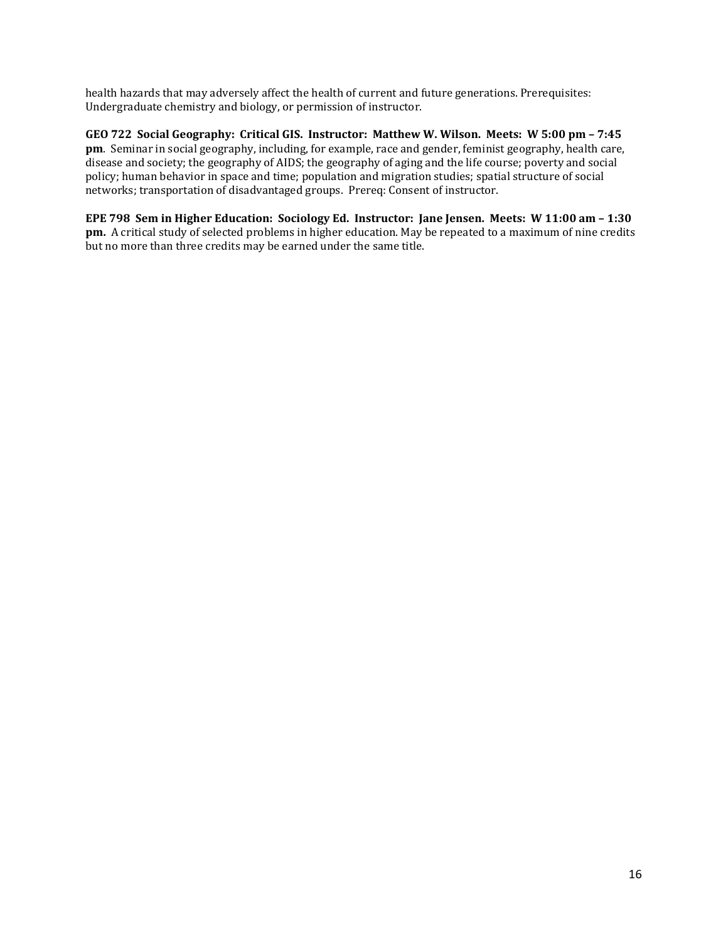health hazards that may adversely affect the health of current and future generations. Prerequisites: Undergraduate chemistry and biology, or permission of instructor.

**GEO 722 Social Geography: Critical GIS. Instructor: Matthew W. Wilson. Meets: W 5:00 pm – 7:45 pm**. Seminar in social geography, including, for example, race and gender, feminist geography, health care, disease and society; the geography of AIDS; the geography of aging and the life course; poverty and social policy; human behavior in space and time; population and migration studies; spatial structure of social networks; transportation of disadvantaged groups. Prereq: Consent of instructor.

**EPE 798 Sem in Higher Education: Sociology Ed. Instructor: Jane Jensen. Meets: W 11:00 am – 1:30 pm.** A critical study of selected problems in higher education. May be repeated to a maximum of nine credits but no more than three credits may be earned under the same title.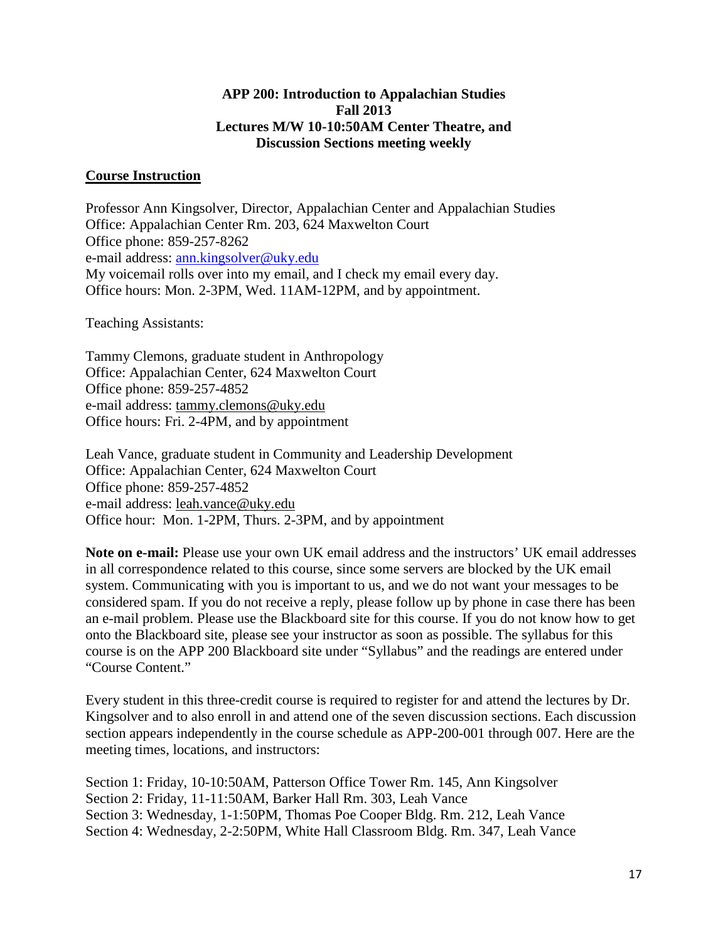### **APP 200: Introduction to Appalachian Studies Fall 2013 Lectures M/W 10-10:50AM Center Theatre, and Discussion Sections meeting weekly**

### **Course Instruction**

Professor Ann Kingsolver, Director, Appalachian Center and Appalachian Studies Office: Appalachian Center Rm. 203, 624 Maxwelton Court Office phone: 859-257-8262 e-mail address: [ann.kingsolver@uky.edu](mailto:ann.kingsolver@uky.edu) My voicemail rolls over into my email, and I check my email every day. Office hours: Mon. 2-3PM, Wed. 11AM-12PM, and by appointment.

Teaching Assistants:

Tammy Clemons, graduate student in Anthropology Office: Appalachian Center, 624 Maxwelton Court Office phone: 859-257-4852 e-mail address: tammy.clemons@uky.edu Office hours: Fri. 2-4PM, and by appointment

Leah Vance, graduate student in Community and Leadership Development Office: Appalachian Center, 624 Maxwelton Court Office phone: 859-257-4852 e-mail address: leah.vance@uky.edu Office hour: Mon. 1-2PM, Thurs. 2-3PM, and by appointment

**Note on e-mail:** Please use your own UK email address and the instructors' UK email addresses in all correspondence related to this course, since some servers are blocked by the UK email system. Communicating with you is important to us, and we do not want your messages to be considered spam. If you do not receive a reply, please follow up by phone in case there has been an e-mail problem. Please use the Blackboard site for this course. If you do not know how to get onto the Blackboard site, please see your instructor as soon as possible. The syllabus for this course is on the APP 200 Blackboard site under "Syllabus" and the readings are entered under "Course Content."

Every student in this three-credit course is required to register for and attend the lectures by Dr. Kingsolver and to also enroll in and attend one of the seven discussion sections. Each discussion section appears independently in the course schedule as APP-200-001 through 007. Here are the meeting times, locations, and instructors:

Section 1: Friday, 10-10:50AM, Patterson Office Tower Rm. 145, Ann Kingsolver Section 2: Friday, 11-11:50AM, Barker Hall Rm. 303, Leah Vance Section 3: Wednesday, 1-1:50PM, Thomas Poe Cooper Bldg. Rm. 212, Leah Vance Section 4: Wednesday, 2-2:50PM, White Hall Classroom Bldg. Rm. 347, Leah Vance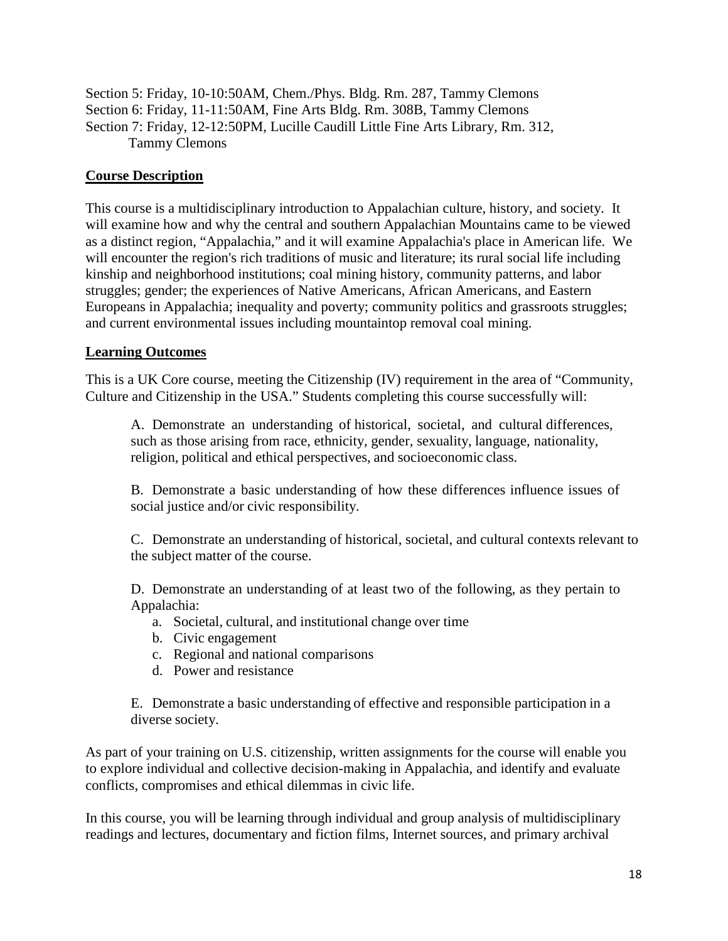Section 5: Friday, 10-10:50AM, Chem./Phys. Bldg. Rm. 287, Tammy Clemons Section 6: Friday, 11-11:50AM, Fine Arts Bldg. Rm. 308B, Tammy Clemons Section 7: Friday, 12-12:50PM, Lucille Caudill Little Fine Arts Library, Rm. 312, Tammy Clemons

### **Course Description**

This course is a multidisciplinary introduction to Appalachian culture, history, and society. It will examine how and why the central and southern Appalachian Mountains came to be viewed as a distinct region, "Appalachia," and it will examine Appalachia's place in American life. We will encounter the region's rich traditions of music and literature; its rural social life including kinship and neighborhood institutions; coal mining history, community patterns, and labor struggles; gender; the experiences of Native Americans, African Americans, and Eastern Europeans in Appalachia; inequality and poverty; community politics and grassroots struggles; and current environmental issues including mountaintop removal coal mining.

### **Learning Outcomes**

This is a UK Core course, meeting the Citizenship (IV) requirement in the area of "Community, Culture and Citizenship in the USA." Students completing this course successfully will:

A. Demonstrate an understanding of historical, societal, and cultural differences, such as those arising from race, ethnicity, gender, sexuality, language, nationality, religion, political and ethical perspectives, and socioeconomic class.

B. Demonstrate a basic understanding of how these differences influence issues of social justice and/or civic responsibility.

C. Demonstrate an understanding of historical, societal, and cultural contexts relevant to the subject matter of the course.

D. Demonstrate an understanding of at least two of the following, as they pertain to Appalachia:

- a. Societal, cultural, and institutional change over time
- b. Civic engagement
- c. Regional and national comparisons
- d. Power and resistance

E. Demonstrate a basic understanding of effective and responsible participation in a diverse society.

As part of your training on U.S. citizenship, written assignments for the course will enable you to explore individual and collective decision-making in Appalachia, and identify and evaluate conflicts, compromises and ethical dilemmas in civic life.

In this course, you will be learning through individual and group analysis of multidisciplinary readings and lectures, documentary and fiction films, Internet sources, and primary archival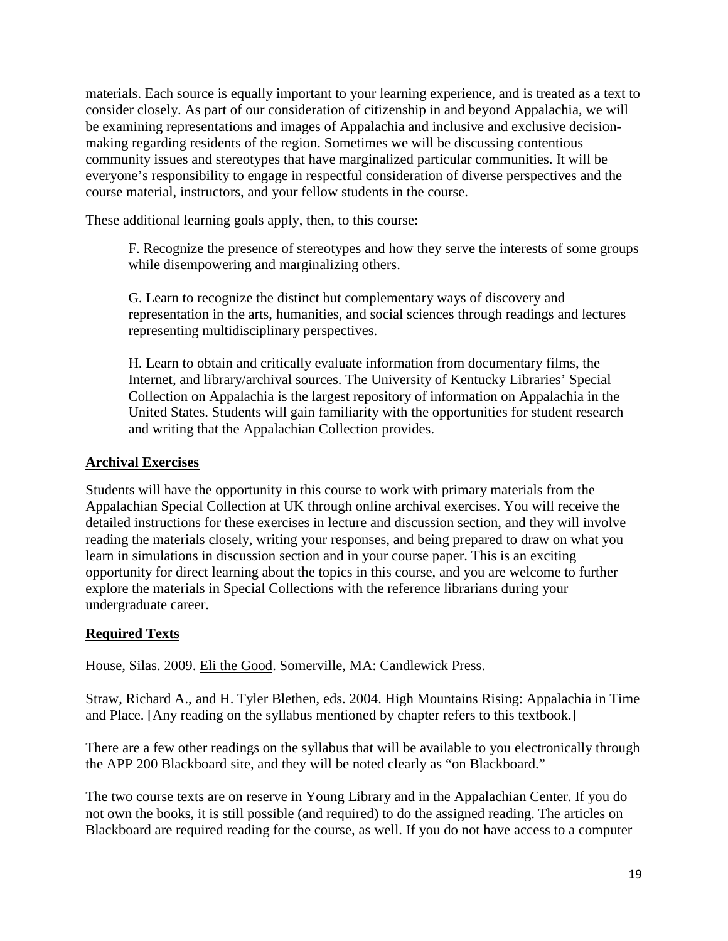materials. Each source is equally important to your learning experience, and is treated as a text to consider closely. As part of our consideration of citizenship in and beyond Appalachia, we will be examining representations and images of Appalachia and inclusive and exclusive decisionmaking regarding residents of the region. Sometimes we will be discussing contentious community issues and stereotypes that have marginalized particular communities. It will be everyone's responsibility to engage in respectful consideration of diverse perspectives and the course material, instructors, and your fellow students in the course.

These additional learning goals apply, then, to this course:

F. Recognize the presence of stereotypes and how they serve the interests of some groups while disempowering and marginalizing others.

G. Learn to recognize the distinct but complementary ways of discovery and representation in the arts, humanities, and social sciences through readings and lectures representing multidisciplinary perspectives.

H. Learn to obtain and critically evaluate information from documentary films, the Internet, and library/archival sources. The University of Kentucky Libraries' Special Collection on Appalachia is the largest repository of information on Appalachia in the United States. Students will gain familiarity with the opportunities for student research and writing that the Appalachian Collection provides.

### **Archival Exercises**

Students will have the opportunity in this course to work with primary materials from the Appalachian Special Collection at UK through online archival exercises. You will receive the detailed instructions for these exercises in lecture and discussion section, and they will involve reading the materials closely, writing your responses, and being prepared to draw on what you learn in simulations in discussion section and in your course paper. This is an exciting opportunity for direct learning about the topics in this course, and you are welcome to further explore the materials in Special Collections with the reference librarians during your undergraduate career.

# **Required Texts**

House, Silas. 2009. Eli the Good. Somerville, MA: Candlewick Press.

Straw, Richard A., and H. Tyler Blethen, eds. 2004. High Mountains Rising: Appalachia in Time and Place. [Any reading on the syllabus mentioned by chapter refers to this textbook.]

There are a few other readings on the syllabus that will be available to you electronically through the APP 200 Blackboard site, and they will be noted clearly as "on Blackboard."

The two course texts are on reserve in Young Library and in the Appalachian Center. If you do not own the books, it is still possible (and required) to do the assigned reading. The articles on Blackboard are required reading for the course, as well. If you do not have access to a computer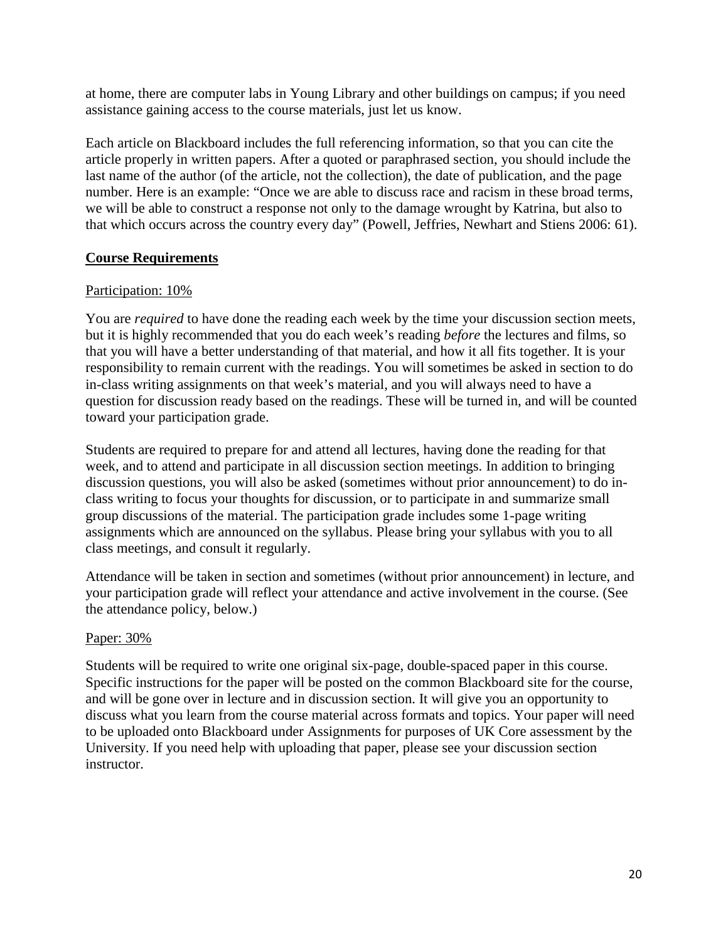at home, there are computer labs in Young Library and other buildings on campus; if you need assistance gaining access to the course materials, just let us know.

Each article on Blackboard includes the full referencing information, so that you can cite the article properly in written papers. After a quoted or paraphrased section, you should include the last name of the author (of the article, not the collection), the date of publication, and the page number. Here is an example: "Once we are able to discuss race and racism in these broad terms, we will be able to construct a response not only to the damage wrought by Katrina, but also to that which occurs across the country every day" (Powell, Jeffries, Newhart and Stiens 2006: 61).

### **Course Requirements**

### Participation: 10%

You are *required* to have done the reading each week by the time your discussion section meets, but it is highly recommended that you do each week's reading *before* the lectures and films, so that you will have a better understanding of that material, and how it all fits together. It is your responsibility to remain current with the readings. You will sometimes be asked in section to do in-class writing assignments on that week's material, and you will always need to have a question for discussion ready based on the readings. These will be turned in, and will be counted toward your participation grade.

Students are required to prepare for and attend all lectures, having done the reading for that week, and to attend and participate in all discussion section meetings. In addition to bringing discussion questions, you will also be asked (sometimes without prior announcement) to do inclass writing to focus your thoughts for discussion, or to participate in and summarize small group discussions of the material. The participation grade includes some 1-page writing assignments which are announced on the syllabus. Please bring your syllabus with you to all class meetings, and consult it regularly.

Attendance will be taken in section and sometimes (without prior announcement) in lecture, and your participation grade will reflect your attendance and active involvement in the course. (See the attendance policy, below.)

### Paper: 30%

Students will be required to write one original six-page, double-spaced paper in this course. Specific instructions for the paper will be posted on the common Blackboard site for the course, and will be gone over in lecture and in discussion section. It will give you an opportunity to discuss what you learn from the course material across formats and topics. Your paper will need to be uploaded onto Blackboard under Assignments for purposes of UK Core assessment by the University. If you need help with uploading that paper, please see your discussion section instructor.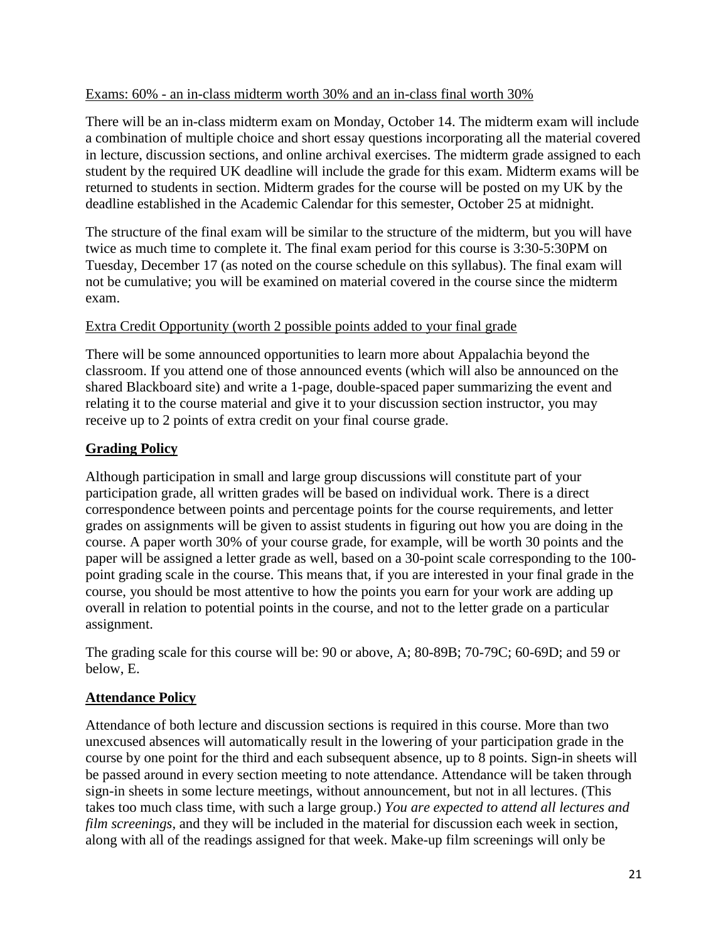### Exams: 60% - an in-class midterm worth 30% and an in-class final worth 30%

There will be an in-class midterm exam on Monday, October 14. The midterm exam will include a combination of multiple choice and short essay questions incorporating all the material covered in lecture, discussion sections, and online archival exercises. The midterm grade assigned to each student by the required UK deadline will include the grade for this exam. Midterm exams will be returned to students in section. Midterm grades for the course will be posted on my UK by the deadline established in the Academic Calendar for this semester, October 25 at midnight.

The structure of the final exam will be similar to the structure of the midterm, but you will have twice as much time to complete it. The final exam period for this course is 3:30-5:30PM on Tuesday, December 17 (as noted on the course schedule on this syllabus). The final exam will not be cumulative; you will be examined on material covered in the course since the midterm exam.

### Extra Credit Opportunity (worth 2 possible points added to your final grade

There will be some announced opportunities to learn more about Appalachia beyond the classroom. If you attend one of those announced events (which will also be announced on the shared Blackboard site) and write a 1-page, double-spaced paper summarizing the event and relating it to the course material and give it to your discussion section instructor, you may receive up to 2 points of extra credit on your final course grade.

### **Grading Policy**

Although participation in small and large group discussions will constitute part of your participation grade, all written grades will be based on individual work. There is a direct correspondence between points and percentage points for the course requirements, and letter grades on assignments will be given to assist students in figuring out how you are doing in the course. A paper worth 30% of your course grade, for example, will be worth 30 points and the paper will be assigned a letter grade as well, based on a 30-point scale corresponding to the 100 point grading scale in the course. This means that, if you are interested in your final grade in the course, you should be most attentive to how the points you earn for your work are adding up overall in relation to potential points in the course, and not to the letter grade on a particular assignment.

The grading scale for this course will be: 90 or above, A; 80-89B; 70-79C; 60-69D; and 59 or below, E.

### **Attendance Policy**

Attendance of both lecture and discussion sections is required in this course. More than two unexcused absences will automatically result in the lowering of your participation grade in the course by one point for the third and each subsequent absence, up to 8 points. Sign-in sheets will be passed around in every section meeting to note attendance. Attendance will be taken through sign-in sheets in some lecture meetings, without announcement, but not in all lectures. (This takes too much class time, with such a large group.) *You are expected to attend all lectures and film screenings,* and they will be included in the material for discussion each week in section, along with all of the readings assigned for that week. Make-up film screenings will only be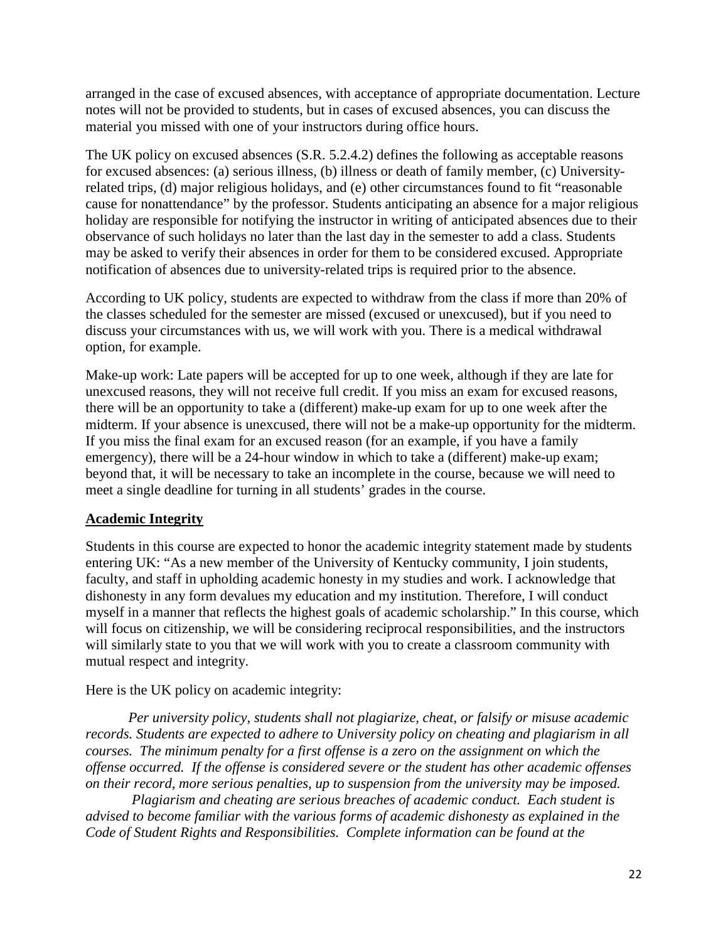arranged in the case of excused absences, with acceptance of appropriate documentation. Lecture notes will not be provided to students, but in cases of excused absences, you can discuss the material you missed with one of your instructors during office hours.

The UK policy on excused absences (S.R. 5.2.4.2) defines the following as acceptable reasons for excused absences: (a) serious illness, (b) illness or death of family member, (c) Universityrelated trips, (d) major religious holidays, and (e) other circumstances found to fit "reasonable cause for nonattendance" by the professor. Students anticipating an absence for a major religious holiday are responsible for notifying the instructor in writing of anticipated absences due to their observance of such holidays no later than the last day in the semester to add a class. Students may be asked to verify their absences in order for them to be considered excused. Appropriate notification of absences due to university-related trips is required prior to the absence.

According to UK policy, students are expected to withdraw from the class if more than 20% of the classes scheduled for the semester are missed (excused or unexcused), but if you need to discuss your circumstances with us, we will work with you. There is a medical withdrawal option, for example.

Make-up work: Late papers will be accepted for up to one week, although if they are late for unexcused reasons, they will not receive full credit. If you miss an exam for excused reasons, there will be an opportunity to take a (different) make-up exam for up to one week after the midterm. If your absence is unexcused, there will not be a make-up opportunity for the midterm. If you miss the final exam for an excused reason (for an example, if you have a family emergency), there will be a 24-hour window in which to take a (different) make-up exam; beyond that, it will be necessary to take an incomplete in the course, because we will need to meet a single deadline for turning in all students' grades in the course.

### **Academic Integrity**

Students in this course are expected to honor the academic integrity statement made by students entering UK: "As a new member of the University of Kentucky community, I join students, faculty, and staff in upholding academic honesty in my studies and work. I acknowledge that dishonesty in any form devalues my education and my institution. Therefore, I will conduct myself in a manner that reflects the highest goals of academic scholarship." In this course, which will focus on citizenship, we will be considering reciprocal responsibilities, and the instructors will similarly state to you that we will work with you to create a classroom community with mutual respect and integrity.

Here is the UK policy on academic integrity:

*Per university policy, students shall not plagiarize, cheat, or falsify or misuse academic records. Students are expected to adhere to University policy on cheating and plagiarism in all courses. The minimum penalty for a first offense is a zero on the assignment on which the offense occurred. If the offense is considered severe or the student has other academic offenses on their record, more serious penalties, up to suspension from the university may be imposed.*

*Plagiarism and cheating are serious breaches of academic conduct. Each student is advised to become familiar with the various forms of academic dishonesty as explained in the Code of Student Rights and Responsibilities. Complete information can be found at the*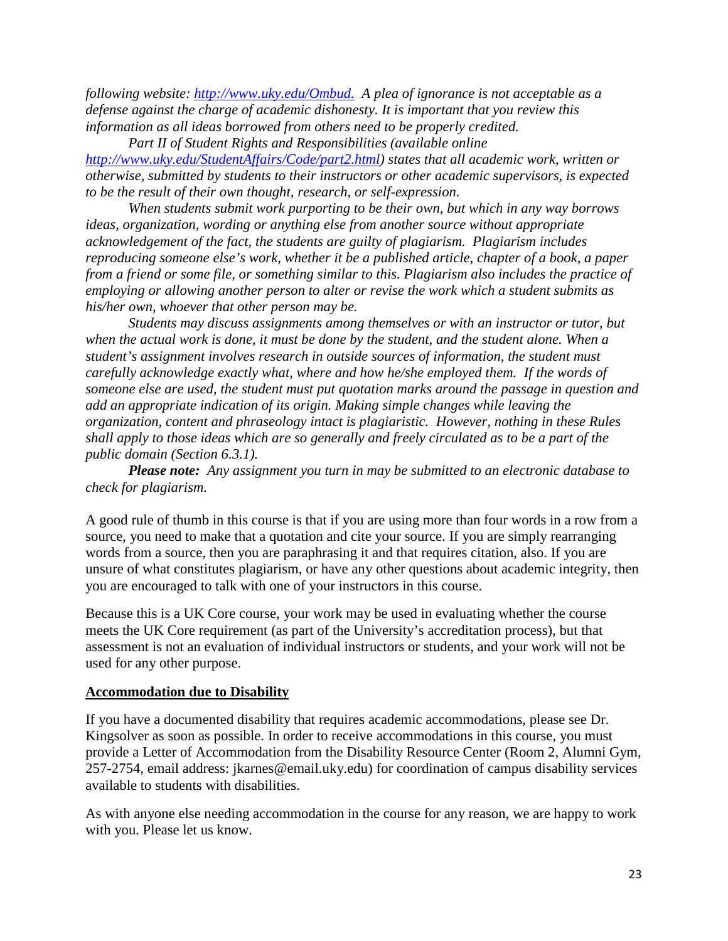*following website:<http://www.uky.edu/Ombud.>A plea of ignorance is not acceptable as a defense against the charge of academic dishonesty. It is important that you review this information as all ideas borrowed from others need to be properly credited.* 

*Part II of Student Rights and Responsibilities (available online [http://www.uky.edu/StudentAffairs/Code/part2.html\)](http://www.uky.edu/StudentAffairs/Code/part2.html) states that all academic work, written or otherwise, submitted by students to their instructors or other academic supervisors, is expected to be the result of their own thought, research, or self-expression.* 

*When students submit work purporting to be their own, but which in any way borrows ideas, organization, wording or anything else from another source without appropriate acknowledgement of the fact, the students are guilty of plagiarism. Plagiarism includes reproducing someone else's work, whether it be a published article, chapter of a book, a paper from a friend or some file, or something similar to this. Plagiarism also includes the practice of employing or allowing another person to alter or revise the work which a student submits as his/her own, whoever that other person may be.*

*Students may discuss assignments among themselves or with an instructor or tutor, but when the actual work is done, it must be done by the student, and the student alone. When a student's assignment involves research in outside sources of information, the student must carefully acknowledge exactly what, where and how he/she employed them. If the words of someone else are used, the student must put quotation marks around the passage in question and add an appropriate indication of its origin. Making simple changes while leaving the organization, content and phraseology intact is plagiaristic. However, nothing in these Rules shall apply to those ideas which are so generally and freely circulated as to be a part of the public domain (Section 6.3.1).*

*Please note: Any assignment you turn in may be submitted to an electronic database to check for plagiarism.*

A good rule of thumb in this course is that if you are using more than four words in a row from a source, you need to make that a quotation and cite your source. If you are simply rearranging words from a source, then you are paraphrasing it and that requires citation, also. If you are unsure of what constitutes plagiarism, or have any other questions about academic integrity, then you are encouraged to talk with one of your instructors in this course.

Because this is a UK Core course, your work may be used in evaluating whether the course meets the UK Core requirement (as part of the University's accreditation process), but that assessment is not an evaluation of individual instructors or students, and your work will not be used for any other purpose.

### **Accommodation due to Disability**

If you have a documented disability that requires academic accommodations, please see Dr. Kingsolver as soon as possible. In order to receive accommodations in this course, you must provide a Letter of Accommodation from the Disability Resource Center (Room 2, Alumni Gym, 257-2754, email address: jkarnes@email.uky.edu) for coordination of campus disability services available to students with disabilities.

As with anyone else needing accommodation in the course for any reason, we are happy to work with you. Please let us know.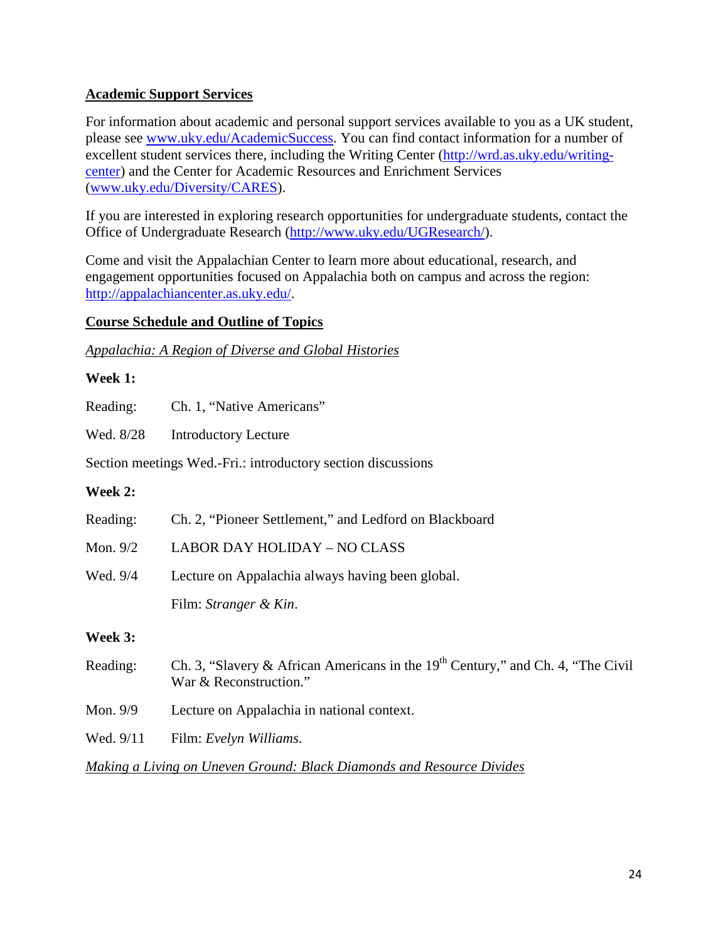### **Academic Support Services**

For information about academic and personal support services available to you as a UK student, please see [www.uky.edu/AcademicSuccess.](http://www.uky.edu/AcademicSuccess) You can find contact information for a number of excellent student services there, including the Writing Center [\(http://wrd.as.uky.edu/writing](http://wrd.as.uky.edu/writing-center)[center\)](http://wrd.as.uky.edu/writing-center) and the Center for Academic Resources and Enrichment Services [\(www.uky.edu/Diversity/CARES\)](http://www.uky.edu/Diversity/CARES).

If you are interested in exploring research opportunities for undergraduate students, contact the Office of Undergraduate Research [\(http://www.uky.edu/UGResearch/\)](http://www.uky.edu/UGResearch/).

Come and visit the Appalachian Center to learn more about educational, research, and engagement opportunities focused on Appalachia both on campus and across the region: [http://appalachiancenter.as.uky.edu/.](http://appalachiancenter.as.uky.edu/)

### **Course Schedule and Outline of Topics**

*Appalachia: A Region of Diverse and Global Histories*

### **Week 1:**

Reading: Ch. 1, "Native Americans"

Wed. 8/28 Introductory Lecture

Section meetings Wed.-Fri.: introductory section discussions

### **Week 2:**

| Reading: | Ch. 2, "Pioneer Settlement," and Ledford on Blackboard |
|----------|--------------------------------------------------------|
| Mon. 9/2 | <b>LABOR DAY HOLIDAY - NO CLASS</b>                    |
| Wed. 9/4 | Lecture on Appalachia always having been global.       |
|          | Film: Stranger & Kin.                                  |
|          |                                                        |

### **Week 3:**

| Reading:  | Ch. 3, "Slavery & African Americans in the $19th$ Century," and Ch. 4, "The Civil"<br>War & Reconstruction." |
|-----------|--------------------------------------------------------------------------------------------------------------|
| Mon. 9/9  | Lecture on Appalachia in national context.                                                                   |
| Wed. 9/11 | Film: Evelyn Williams.                                                                                       |

*Making a Living on Uneven Ground: Black Diamonds and Resource Divides*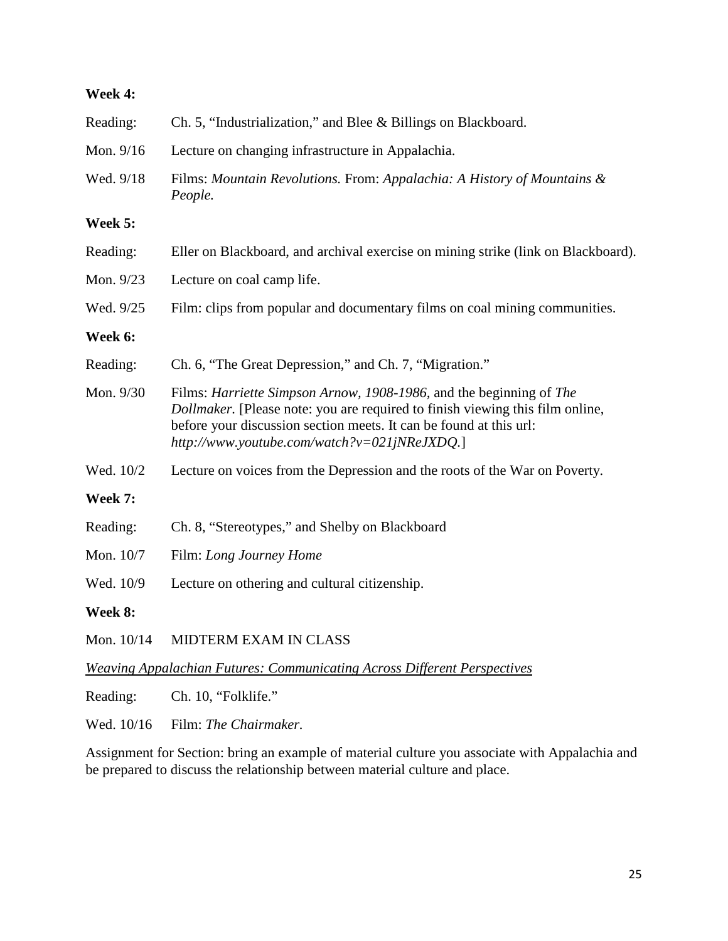### **Week 4:**

| Reading:   | Ch. 5, "Industrialization," and Blee & Billings on Blackboard.                                                                                                                                                                                                             |
|------------|----------------------------------------------------------------------------------------------------------------------------------------------------------------------------------------------------------------------------------------------------------------------------|
| Mon. 9/16  | Lecture on changing infrastructure in Appalachia.                                                                                                                                                                                                                          |
| Wed. 9/18  | Films: Mountain Revolutions. From: Appalachia: A History of Mountains &<br>People.                                                                                                                                                                                         |
| Week 5:    |                                                                                                                                                                                                                                                                            |
| Reading:   | Eller on Blackboard, and archival exercise on mining strike (link on Blackboard).                                                                                                                                                                                          |
| Mon. 9/23  | Lecture on coal camp life.                                                                                                                                                                                                                                                 |
| Wed. 9/25  | Film: clips from popular and documentary films on coal mining communities.                                                                                                                                                                                                 |
| Week 6:    |                                                                                                                                                                                                                                                                            |
| Reading:   | Ch. 6, "The Great Depression," and Ch. 7, "Migration."                                                                                                                                                                                                                     |
| Mon. 9/30  | Films: Harriette Simpson Arnow, 1908-1986, and the beginning of The<br>Dollmaker. [Please note: you are required to finish viewing this film online,<br>before your discussion section meets. It can be found at this url:<br>http://www.youtube.com/watch?v=021jNReJXDQ.] |
| Wed. 10/2  | Lecture on voices from the Depression and the roots of the War on Poverty.                                                                                                                                                                                                 |
| Week 7:    |                                                                                                                                                                                                                                                                            |
| Reading:   | Ch. 8, "Stereotypes," and Shelby on Blackboard                                                                                                                                                                                                                             |
| Mon. 10/7  | Film: Long Journey Home                                                                                                                                                                                                                                                    |
| Wed. 10/9  | Lecture on othering and cultural citizenship.                                                                                                                                                                                                                              |
| Week 8:    |                                                                                                                                                                                                                                                                            |
| Mon. 10/14 | MIDTERM EXAM IN CLASS                                                                                                                                                                                                                                                      |

*Weaving Appalachian Futures: Communicating Across Different Perspectives*

Reading: Ch. 10, "Folklife."

Wed. 10/16 Film: *The Chairmaker.*

Assignment for Section: bring an example of material culture you associate with Appalachia and be prepared to discuss the relationship between material culture and place.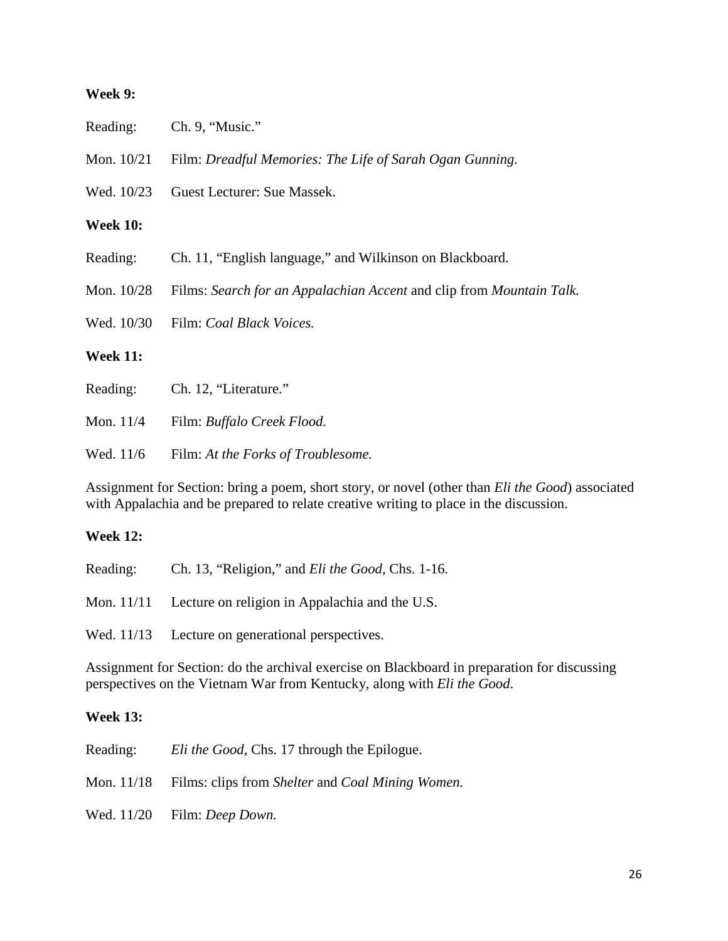#### **Week 9:**

Reading: Ch. 9, "Music."

| Mon. $10/21$    | Film: Dreadful Memories: The Life of Sarah Ogan Gunning.             |
|-----------------|----------------------------------------------------------------------|
| Wed. 10/23      | Guest Lecturer: Sue Massek.                                          |
| <b>Week 10:</b> |                                                                      |
| Reading:        | Ch. 11, "English language," and Wilkinson on Blackboard.             |
| Mon. 10/28      | Films: Search for an Appalachian Accent and clip from Mountain Talk. |
|                 | Wed. 10/30 Film: Coal Black Voices.                                  |
| <b>Week 11:</b> |                                                                      |
| Reading:        | Ch. 12, "Literature."                                                |
| Mon. 11/4       | Film: Buffalo Creek Flood.                                           |

Wed. 11/6 Film: *At the Forks of Troublesome.*

Assignment for Section: bring a poem, short story, or novel (other than *Eli the Good*) associated with Appalachia and be prepared to relate creative writing to place in the discussion.

### **Week 12:**

| Reading: | Ch. 13, "Religion," and <i>Eli the Good</i> , Chs. 1-16.  |
|----------|-----------------------------------------------------------|
|          | Mon. 11/11 Lecture on religion in Appalachia and the U.S. |
|          | Wed. 11/13 Lecture on generational perspectives.          |

Assignment for Section: do the archival exercise on Blackboard in preparation for discussing perspectives on the Vietnam War from Kentucky, along with *Eli the Good*.

### **Week 13:**

| Reading: | Eli the Good, Chs. 17 through the Epilogue.                 |
|----------|-------------------------------------------------------------|
|          | Mon. 11/18 Films: clips from Shelter and Coal Mining Women. |
|          | Wed. 11/20 Film: Deep Down.                                 |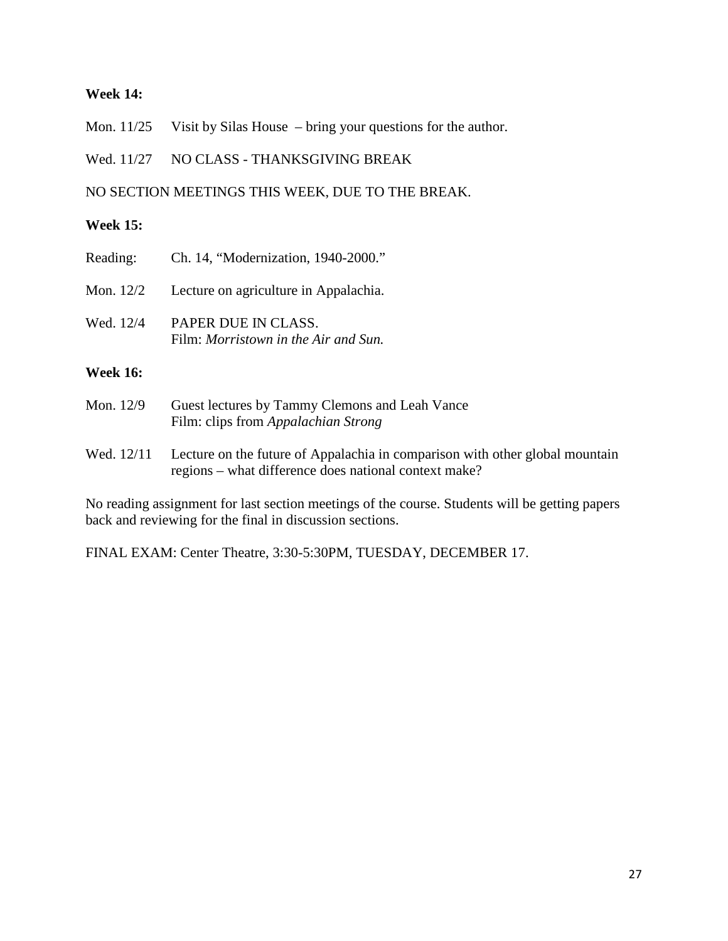### **Week 14:**

Mon. 11/25 Visit by Silas House – bring your questions for the author.

Wed. 11/27 NO CLASS - THANKSGIVING BREAK

NO SECTION MEETINGS THIS WEEK, DUE TO THE BREAK.

### **Week 15:**

| Reading:    | Ch. 14, "Modernization, 1940-2000."   |
|-------------|---------------------------------------|
| Mon. $12/2$ | Lecture on agriculture in Appalachia. |

Wed. 12/4 PAPER DUE IN CLASS. Film: *Morristown in the Air and Sun.*

### **Week 16:**

- Mon. 12/9 Guest lectures by Tammy Clemons and Leah Vance Film: clips from *Appalachian Strong*
- Wed. 12/11 Lecture on the future of Appalachia in comparison with other global mountain regions – what difference does national context make?

No reading assignment for last section meetings of the course. Students will be getting papers back and reviewing for the final in discussion sections.

FINAL EXAM: Center Theatre, 3:30-5:30PM, TUESDAY, DECEMBER 17.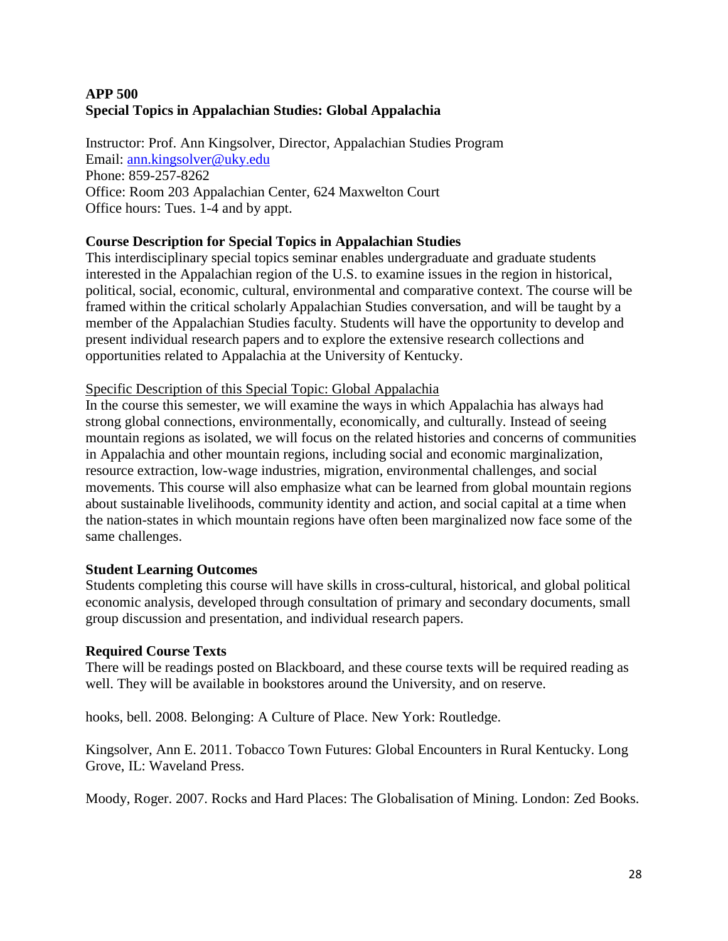## **APP 500 Special Topics in Appalachian Studies: Global Appalachia**

Instructor: Prof. Ann Kingsolver, Director, Appalachian Studies Program Email: [ann.kingsolver@uky.edu](mailto:ann.kingsolver@uky.edu) Phone: 859-257-8262 Office: Room 203 Appalachian Center, 624 Maxwelton Court Office hours: Tues. 1-4 and by appt.

## **Course Description for Special Topics in Appalachian Studies**

This interdisciplinary special topics seminar enables undergraduate and graduate students interested in the Appalachian region of the U.S. to examine issues in the region in historical, political, social, economic, cultural, environmental and comparative context. The course will be framed within the critical scholarly Appalachian Studies conversation, and will be taught by a member of the Appalachian Studies faculty. Students will have the opportunity to develop and present individual research papers and to explore the extensive research collections and opportunities related to Appalachia at the University of Kentucky.

### Specific Description of this Special Topic: Global Appalachia

In the course this semester, we will examine the ways in which Appalachia has always had strong global connections, environmentally, economically, and culturally. Instead of seeing mountain regions as isolated, we will focus on the related histories and concerns of communities in Appalachia and other mountain regions, including social and economic marginalization, resource extraction, low-wage industries, migration, environmental challenges, and social movements. This course will also emphasize what can be learned from global mountain regions about sustainable livelihoods, community identity and action, and social capital at a time when the nation-states in which mountain regions have often been marginalized now face some of the same challenges.

### **Student Learning Outcomes**

Students completing this course will have skills in cross-cultural, historical, and global political economic analysis, developed through consultation of primary and secondary documents, small group discussion and presentation, and individual research papers.

### **Required Course Texts**

There will be readings posted on Blackboard, and these course texts will be required reading as well. They will be available in bookstores around the University, and on reserve.

hooks, bell. 2008. Belonging: A Culture of Place. New York: Routledge.

Kingsolver, Ann E. 2011. Tobacco Town Futures: Global Encounters in Rural Kentucky. Long Grove, IL: Waveland Press.

Moody, Roger. 2007. Rocks and Hard Places: The Globalisation of Mining. London: Zed Books.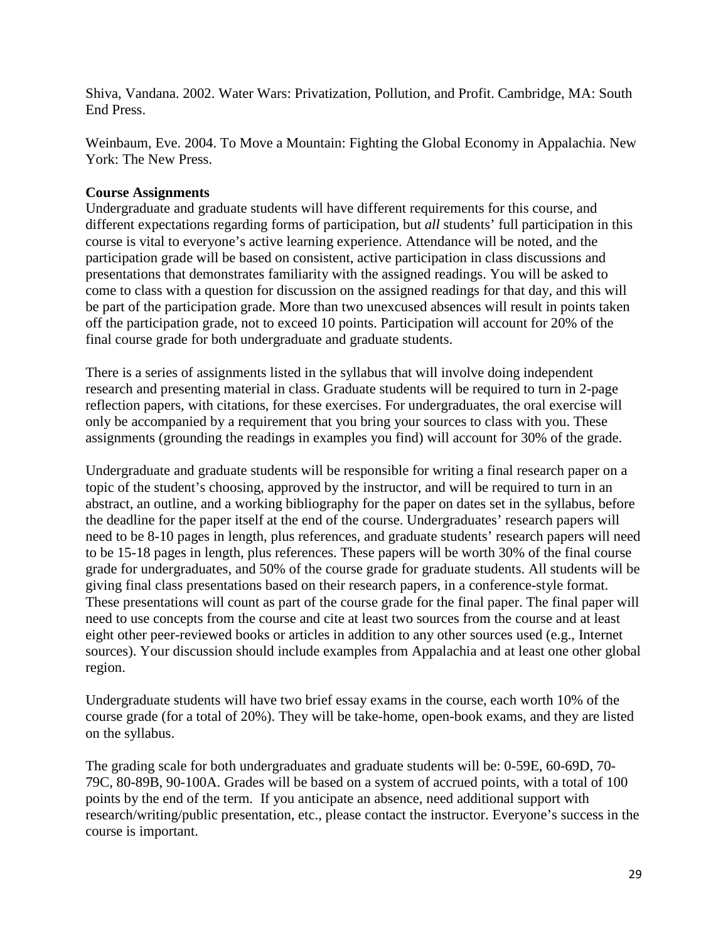Shiva, Vandana. 2002. Water Wars: Privatization, Pollution, and Profit. Cambridge, MA: South End Press.

Weinbaum, Eve. 2004. To Move a Mountain: Fighting the Global Economy in Appalachia. New York: The New Press.

### **Course Assignments**

Undergraduate and graduate students will have different requirements for this course, and different expectations regarding forms of participation, but *all* students' full participation in this course is vital to everyone's active learning experience. Attendance will be noted, and the participation grade will be based on consistent, active participation in class discussions and presentations that demonstrates familiarity with the assigned readings. You will be asked to come to class with a question for discussion on the assigned readings for that day, and this will be part of the participation grade. More than two unexcused absences will result in points taken off the participation grade, not to exceed 10 points. Participation will account for 20% of the final course grade for both undergraduate and graduate students.

There is a series of assignments listed in the syllabus that will involve doing independent research and presenting material in class. Graduate students will be required to turn in 2-page reflection papers, with citations, for these exercises. For undergraduates, the oral exercise will only be accompanied by a requirement that you bring your sources to class with you. These assignments (grounding the readings in examples you find) will account for 30% of the grade.

Undergraduate and graduate students will be responsible for writing a final research paper on a topic of the student's choosing, approved by the instructor, and will be required to turn in an abstract, an outline, and a working bibliography for the paper on dates set in the syllabus, before the deadline for the paper itself at the end of the course. Undergraduates' research papers will need to be 8-10 pages in length, plus references, and graduate students' research papers will need to be 15-18 pages in length, plus references. These papers will be worth 30% of the final course grade for undergraduates, and 50% of the course grade for graduate students. All students will be giving final class presentations based on their research papers, in a conference-style format. These presentations will count as part of the course grade for the final paper. The final paper will need to use concepts from the course and cite at least two sources from the course and at least eight other peer-reviewed books or articles in addition to any other sources used (e.g., Internet sources). Your discussion should include examples from Appalachia and at least one other global region.

Undergraduate students will have two brief essay exams in the course, each worth 10% of the course grade (for a total of 20%). They will be take-home, open-book exams, and they are listed on the syllabus.

The grading scale for both undergraduates and graduate students will be: 0-59E, 60-69D, 70- 79C, 80-89B, 90-100A. Grades will be based on a system of accrued points, with a total of 100 points by the end of the term. If you anticipate an absence, need additional support with research/writing/public presentation, etc., please contact the instructor. Everyone's success in the course is important.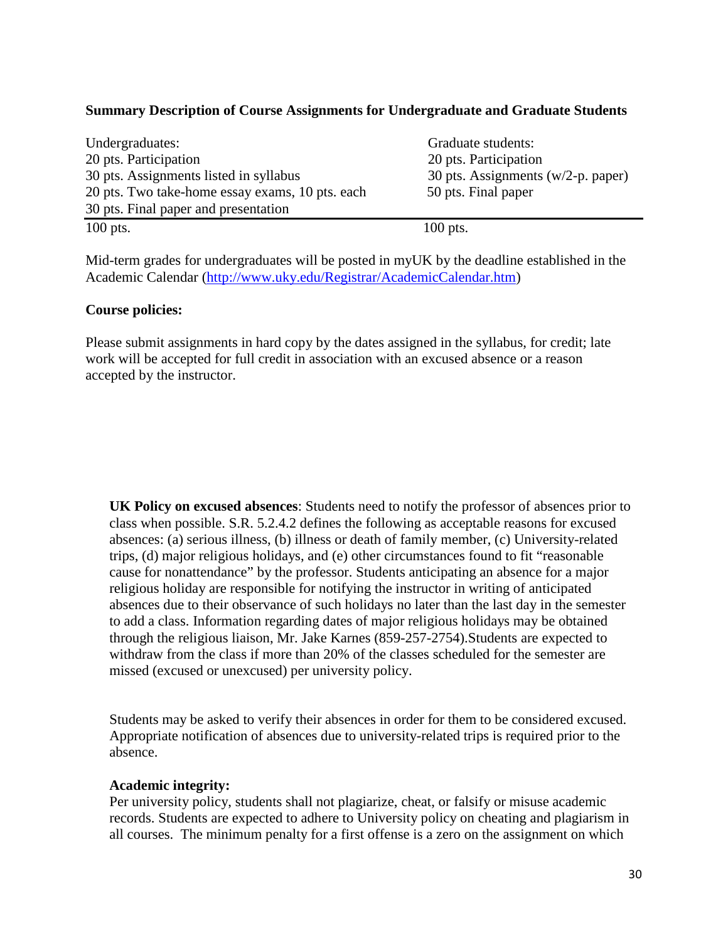### **Summary Description of Course Assignments for Undergraduate and Graduate Students**

| Undergraduates:                                 | Graduate students:                     |  |
|-------------------------------------------------|----------------------------------------|--|
| 20 pts. Participation                           | 20 pts. Participation                  |  |
| 30 pts. Assignments listed in syllabus          | 30 pts. Assignments ( $w/2-p$ . paper) |  |
| 20 pts. Two take-home essay exams, 10 pts. each | 50 pts. Final paper                    |  |
| 30 pts. Final paper and presentation            |                                        |  |
| $100$ pts.                                      | $100$ pts.                             |  |

Mid-term grades for undergraduates will be posted in myUK by the deadline established in the Academic Calendar [\(http://www.uky.edu/Registrar/AcademicCalendar.htm\)](http://www.uky.edu/Registrar/AcademicCalendar.htm)

### **Course policies:**

Please submit assignments in hard copy by the dates assigned in the syllabus, for credit; late work will be accepted for full credit in association with an excused absence or a reason accepted by the instructor.

**UK Policy on excused absences**: Students need to notify the professor of absences prior to class when possible. S.R. 5.2.4.2 defines the following as acceptable reasons for excused absences: (a) serious illness, (b) illness or death of family member, (c) University-related trips, (d) major religious holidays, and (e) other circumstances found to fit "reasonable cause for nonattendance" by the professor. Students anticipating an absence for a major religious holiday are responsible for notifying the instructor in writing of anticipated absences due to their observance of such holidays no later than the last day in the semester to add a class. Information regarding dates of major religious holidays may be obtained through the religious liaison, Mr. Jake Karnes (859-257-2754).Students are expected to withdraw from the class if more than 20% of the classes scheduled for the semester are missed (excused or unexcused) per university policy.

Students may be asked to verify their absences in order for them to be considered excused. Appropriate notification of absences due to university-related trips is required prior to the absence.

### **Academic integrity:**

Per university policy, students shall not plagiarize, cheat, or falsify or misuse academic records. Students are expected to adhere to University policy on cheating and plagiarism in all courses. The minimum penalty for a first offense is a zero on the assignment on which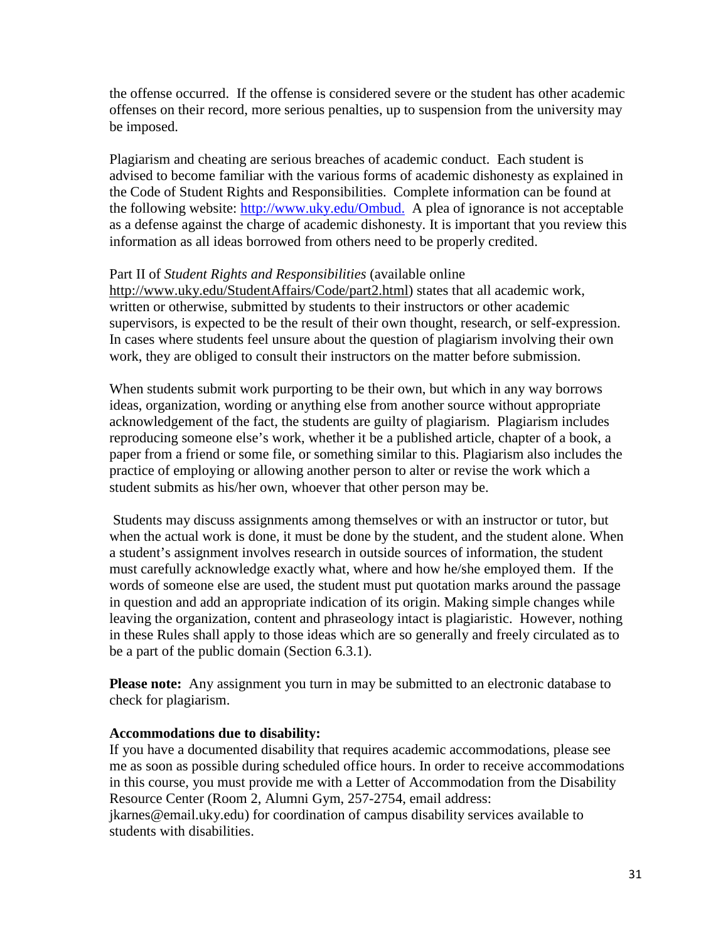the offense occurred. If the offense is considered severe or the student has other academic offenses on their record, more serious penalties, up to suspension from the university may be imposed.

Plagiarism and cheating are serious breaches of academic conduct. Each student is advised to become familiar with the various forms of academic dishonesty as explained in the Code of Student Rights and Responsibilities. Complete information can be found at the following website:<http://www.uky.edu/Ombud.>A plea of ignorance is not acceptable as a defense against the charge of academic dishonesty. It is important that you review this information as all ideas borrowed from others need to be properly credited.

#### Part II of *Student Rights and Responsibilities* (available online

[http://www.uky.edu/StudentAffairs/Code/part2.html\)](http://www.uky.edu/StudentAffairs/Code/part2.html) states that all academic work, written or otherwise, submitted by students to their instructors or other academic supervisors, is expected to be the result of their own thought, research, or self-expression. In cases where students feel unsure about the question of plagiarism involving their own work, they are obliged to consult their instructors on the matter before submission.

When students submit work purporting to be their own, but which in any way borrows ideas, organization, wording or anything else from another source without appropriate acknowledgement of the fact, the students are guilty of plagiarism. Plagiarism includes reproducing someone else's work, whether it be a published article, chapter of a book, a paper from a friend or some file, or something similar to this. Plagiarism also includes the practice of employing or allowing another person to alter or revise the work which a student submits as his/her own, whoever that other person may be.

Students may discuss assignments among themselves or with an instructor or tutor, but when the actual work is done, it must be done by the student, and the student alone. When a student's assignment involves research in outside sources of information, the student must carefully acknowledge exactly what, where and how he/she employed them. If the words of someone else are used, the student must put quotation marks around the passage in question and add an appropriate indication of its origin. Making simple changes while leaving the organization, content and phraseology intact is plagiaristic. However, nothing in these Rules shall apply to those ideas which are so generally and freely circulated as to be a part of the public domain (Section 6.3.1).

**Please note:** Any assignment you turn in may be submitted to an electronic database to check for plagiarism.

### **Accommodations due to disability:**

If you have a documented disability that requires academic accommodations, please see me as soon as possible during scheduled office hours. In order to receive accommodations in this course, you must provide me with a Letter of Accommodation from the Disability Resource Center (Room 2, Alumni Gym, 257-2754, email address: jkarnes@email.uky.edu) for coordination of campus disability services available to students with disabilities.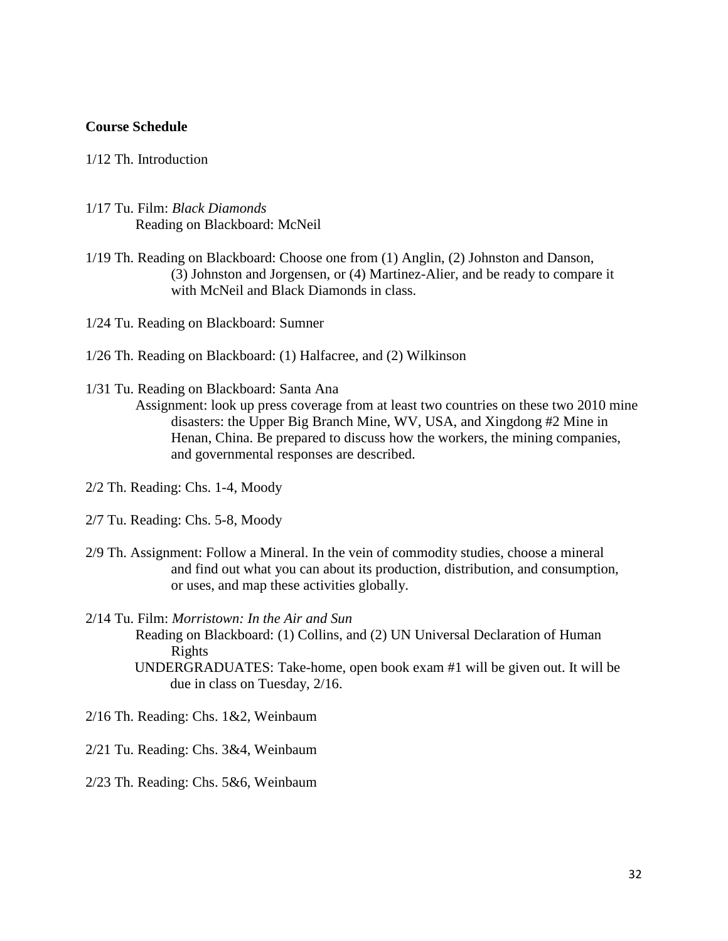#### **Course Schedule**

### 1/12 Th. Introduction

- 1/17 Tu. Film: *Black Diamonds* Reading on Blackboard: McNeil
- 1/19 Th. Reading on Blackboard: Choose one from (1) Anglin, (2) Johnston and Danson, (3) Johnston and Jorgensen, or (4) Martinez-Alier, and be ready to compare it with McNeil and Black Diamonds in class.

1/24 Tu. Reading on Blackboard: Sumner

- 1/26 Th. Reading on Blackboard: (1) Halfacree, and (2) Wilkinson
- 1/31 Tu. Reading on Blackboard: Santa Ana
	- Assignment: look up press coverage from at least two countries on these two 2010 mine disasters: the Upper Big Branch Mine, WV, USA, and Xingdong #2 Mine in Henan, China. Be prepared to discuss how the workers, the mining companies, and governmental responses are described.
- 2/2 Th. Reading: Chs. 1-4, Moody
- 2/7 Tu. Reading: Chs. 5-8, Moody
- 2/9 Th. Assignment: Follow a Mineral. In the vein of commodity studies, choose a mineral and find out what you can about its production, distribution, and consumption, or uses, and map these activities globally.
- 2/14 Tu. Film: *Morristown: In the Air and Sun*
	- Reading on Blackboard: (1) Collins, and (2) UN Universal Declaration of Human Rights
		- UNDERGRADUATES: Take-home, open book exam #1 will be given out. It will be due in class on Tuesday, 2/16.
- 2/16 Th. Reading: Chs. 1&2, Weinbaum
- 2/21 Tu. Reading: Chs. 3&4, Weinbaum
- 2/23 Th. Reading: Chs. 5&6, Weinbaum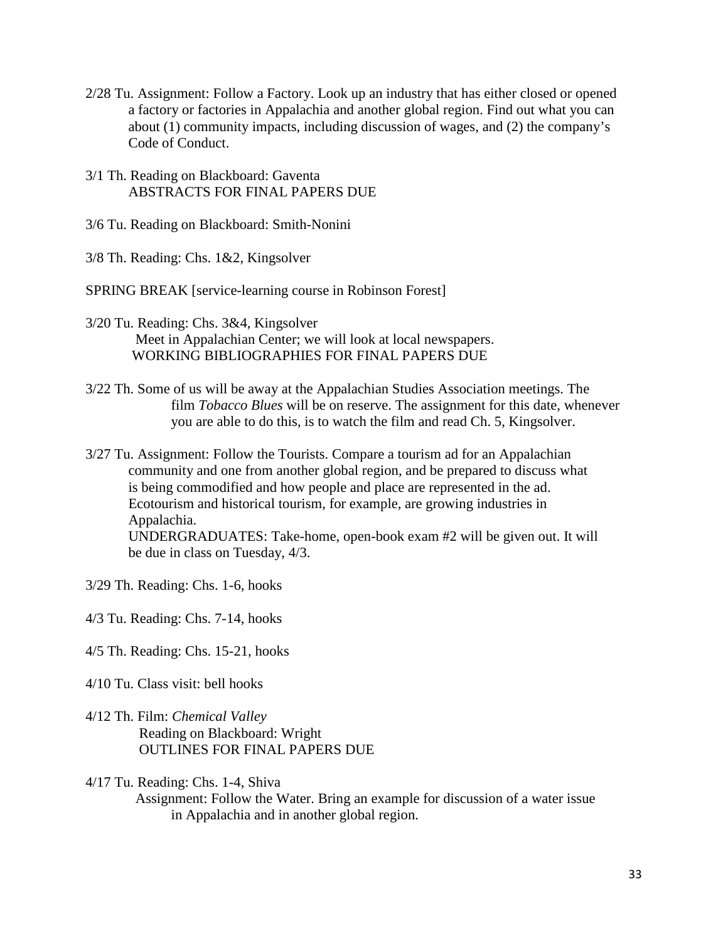- 2/28 Tu. Assignment: Follow a Factory. Look up an industry that has either closed or opened a factory or factories in Appalachia and another global region. Find out what you can about (1) community impacts, including discussion of wages, and (2) the company's Code of Conduct.
- 3/1 Th. Reading on Blackboard: Gaventa ABSTRACTS FOR FINAL PAPERS DUE
- 3/6 Tu. Reading on Blackboard: Smith-Nonini
- 3/8 Th. Reading: Chs. 1&2, Kingsolver
- SPRING BREAK [service-learning course in Robinson Forest]
- 3/20 Tu. Reading: Chs. 3&4, Kingsolver Meet in Appalachian Center; we will look at local newspapers. WORKING BIBLIOGRAPHIES FOR FINAL PAPERS DUE
- 3/22 Th. Some of us will be away at the Appalachian Studies Association meetings. The film *Tobacco Blues* will be on reserve. The assignment for this date, whenever you are able to do this, is to watch the film and read Ch. 5, Kingsolver.
- 3/27 Tu. Assignment: Follow the Tourists. Compare a tourism ad for an Appalachian community and one from another global region, and be prepared to discuss what is being commodified and how people and place are represented in the ad. Ecotourism and historical tourism, for example, are growing industries in Appalachia. UNDERGRADUATES: Take-home, open-book exam #2 will be given out. It will be due in class on Tuesday, 4/3.
- 3/29 Th. Reading: Chs. 1-6, hooks
- 4/3 Tu. Reading: Chs. 7-14, hooks
- 4/5 Th. Reading: Chs. 15-21, hooks
- 4/10 Tu. Class visit: bell hooks
- 4/12 Th. Film: *Chemical Valley* Reading on Blackboard: Wright OUTLINES FOR FINAL PAPERS DUE
- 4/17 Tu. Reading: Chs. 1-4, Shiva
	- Assignment: Follow the Water. Bring an example for discussion of a water issue in Appalachia and in another global region.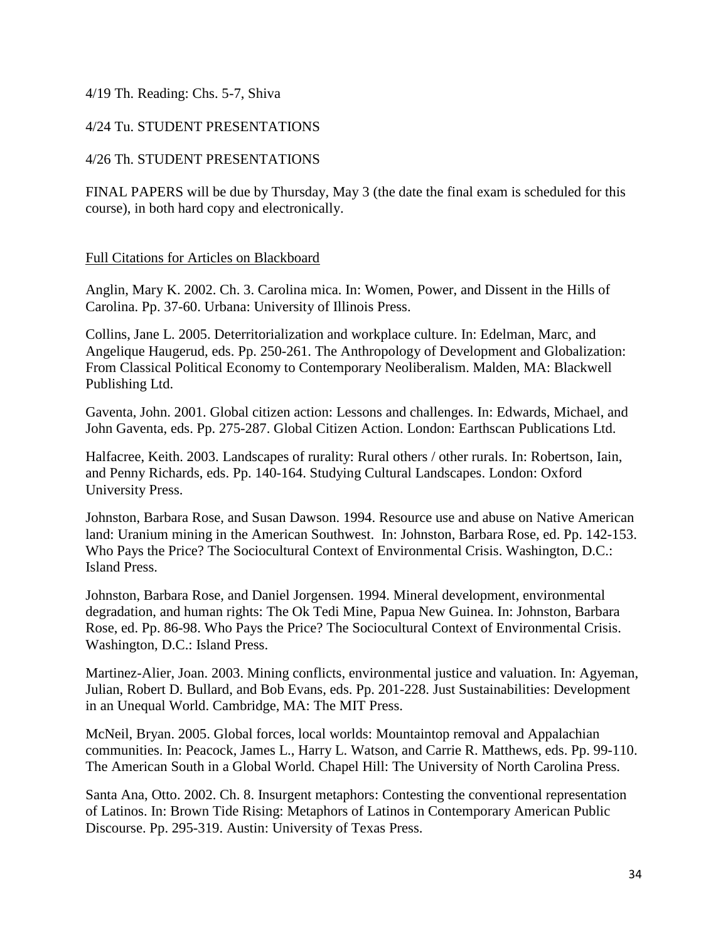### 4/19 Th. Reading: Chs. 5-7, Shiva

### 4/24 Tu. STUDENT PRESENTATIONS

### 4/26 Th. STUDENT PRESENTATIONS

FINAL PAPERS will be due by Thursday, May 3 (the date the final exam is scheduled for this course), in both hard copy and electronically.

### Full Citations for Articles on Blackboard

Anglin, Mary K. 2002. Ch. 3. Carolina mica. In: Women, Power, and Dissent in the Hills of Carolina. Pp. 37-60. Urbana: University of Illinois Press.

Collins, Jane L. 2005. Deterritorialization and workplace culture. In: Edelman, Marc, and Angelique Haugerud, eds. Pp. 250-261. The Anthropology of Development and Globalization: From Classical Political Economy to Contemporary Neoliberalism. Malden, MA: Blackwell Publishing Ltd.

Gaventa, John. 2001. Global citizen action: Lessons and challenges. In: Edwards, Michael, and John Gaventa, eds. Pp. 275-287. Global Citizen Action. London: Earthscan Publications Ltd.

Halfacree, Keith. 2003. Landscapes of rurality: Rural others / other rurals. In: Robertson, Iain, and Penny Richards, eds. Pp. 140-164. Studying Cultural Landscapes. London: Oxford University Press.

Johnston, Barbara Rose, and Susan Dawson. 1994. Resource use and abuse on Native American land: Uranium mining in the American Southwest. In: Johnston, Barbara Rose, ed. Pp. 142-153. Who Pays the Price? The Sociocultural Context of Environmental Crisis. Washington, D.C.: Island Press.

Johnston, Barbara Rose, and Daniel Jorgensen. 1994. Mineral development, environmental degradation, and human rights: The Ok Tedi Mine, Papua New Guinea. In: Johnston, Barbara Rose, ed. Pp. 86-98. Who Pays the Price? The Sociocultural Context of Environmental Crisis. Washington, D.C.: Island Press.

Martinez-Alier, Joan. 2003. Mining conflicts, environmental justice and valuation. In: Agyeman, Julian, Robert D. Bullard, and Bob Evans, eds. Pp. 201-228. Just Sustainabilities: Development in an Unequal World. Cambridge, MA: The MIT Press.

McNeil, Bryan. 2005. Global forces, local worlds: Mountaintop removal and Appalachian communities. In: Peacock, James L., Harry L. Watson, and Carrie R. Matthews, eds. Pp. 99-110. The American South in a Global World. Chapel Hill: The University of North Carolina Press.

Santa Ana, Otto. 2002. Ch. 8. Insurgent metaphors: Contesting the conventional representation of Latinos. In: Brown Tide Rising: Metaphors of Latinos in Contemporary American Public Discourse. Pp. 295-319. Austin: University of Texas Press.